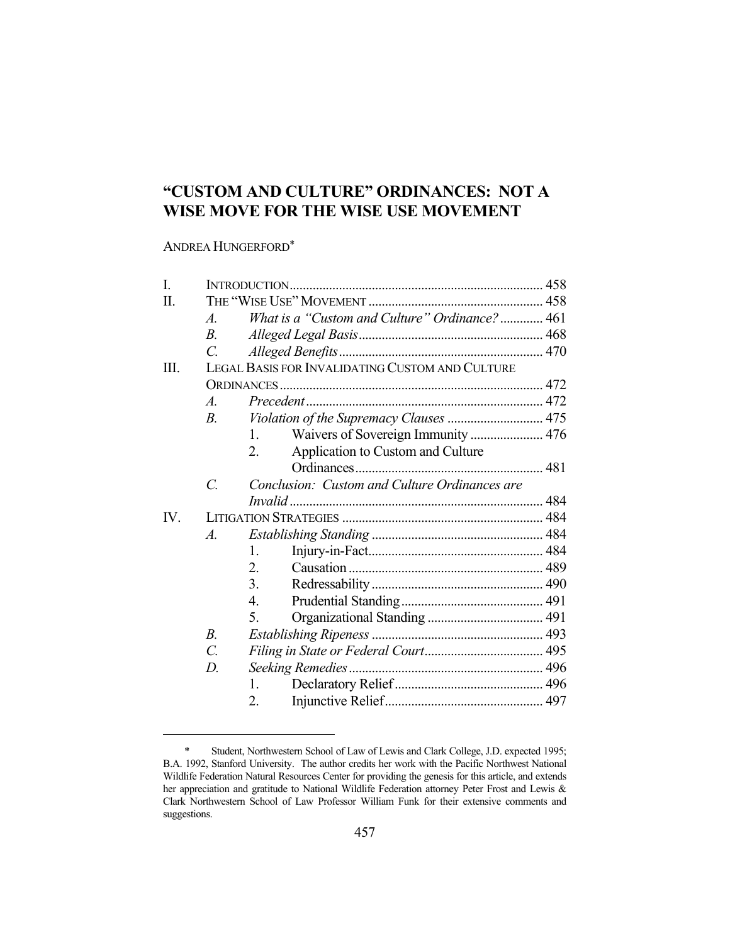# **"CUSTOM AND CULTURE" ORDINANCES: NOT A WISE MOVE FOR THE WISE USE MOVEMENT**

ANDREA HUNGERFORD\*

| I.   |                    |                                                 |  |
|------|--------------------|-------------------------------------------------|--|
| П.   |                    |                                                 |  |
|      | $\mathcal{A}$ .    | What is a "Custom and Culture" Ordinance? 461   |  |
|      | B <sub>1</sub>     |                                                 |  |
|      | $\mathcal{C}$      |                                                 |  |
| III. |                    | LEGAL BASIS FOR INVALIDATING CUSTOM AND CULTURE |  |
|      |                    |                                                 |  |
|      | $\overline{A}$     |                                                 |  |
|      | B <sub>1</sub>     |                                                 |  |
|      |                    | Waivers of Sovereign Immunity  476<br>$1_{-}$   |  |
|      |                    | 2.<br>Application to Custom and Culture         |  |
|      |                    |                                                 |  |
|      | $\mathcal{C}$      | Conclusion: Custom and Culture Ordinances are   |  |
|      |                    |                                                 |  |
| IV.  |                    |                                                 |  |
|      | $\boldsymbol{A}$ . |                                                 |  |
|      |                    | 1.                                              |  |
|      |                    | 2.                                              |  |
|      |                    | 3.                                              |  |
|      |                    | $\overline{4}$ .                                |  |
|      |                    | 5.                                              |  |
|      | $B_{\cdot}$        |                                                 |  |
|      | $\overline{C}$ .   |                                                 |  |
|      | $D$ .              |                                                 |  |
|      |                    | 1.                                              |  |
|      |                    | 2.                                              |  |

 <sup>\*</sup> Student, Northwestern School of Law of Lewis and Clark College, J.D. expected 1995; B.A. 1992, Stanford University. The author credits her work with the Pacific Northwest National Wildlife Federation Natural Resources Center for providing the genesis for this article, and extends her appreciation and gratitude to National Wildlife Federation attorney Peter Frost and Lewis & Clark Northwestern School of Law Professor William Funk for their extensive comments and suggestions.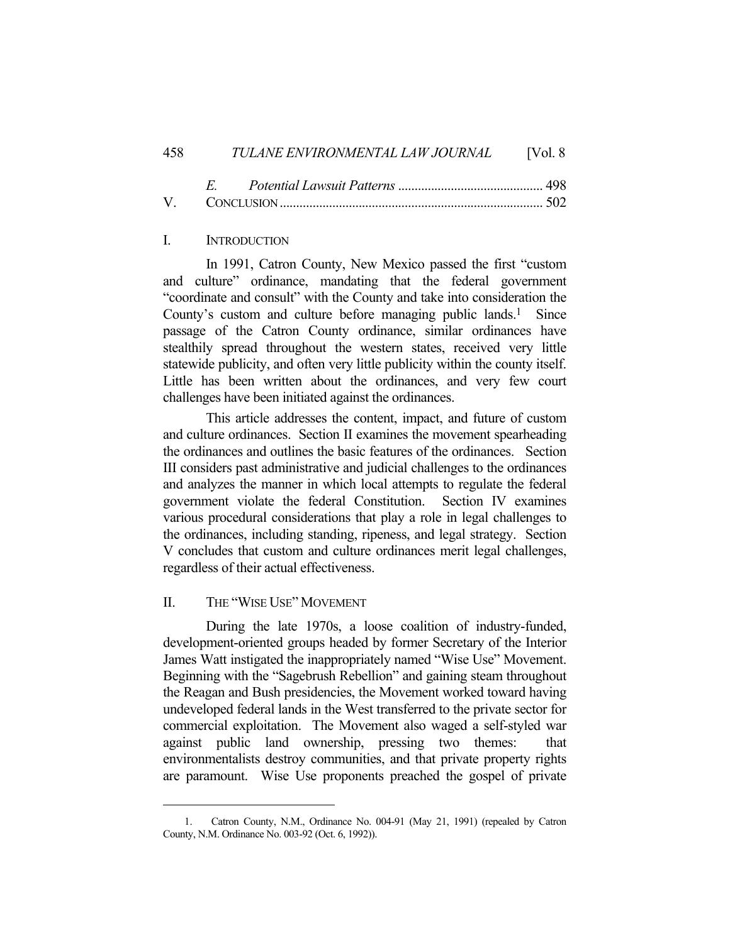### 458 *TULANE ENVIRONMENTAL LAW JOURNAL* [Vol. 8

### I. INTRODUCTION

 In 1991, Catron County, New Mexico passed the first "custom and culture" ordinance, mandating that the federal government "coordinate and consult" with the County and take into consideration the County's custom and culture before managing public lands.<sup>1</sup> Since passage of the Catron County ordinance, similar ordinances have stealthily spread throughout the western states, received very little statewide publicity, and often very little publicity within the county itself. Little has been written about the ordinances, and very few court challenges have been initiated against the ordinances.

 This article addresses the content, impact, and future of custom and culture ordinances. Section II examines the movement spearheading the ordinances and outlines the basic features of the ordinances. Section III considers past administrative and judicial challenges to the ordinances and analyzes the manner in which local attempts to regulate the federal government violate the federal Constitution. Section IV examines various procedural considerations that play a role in legal challenges to the ordinances, including standing, ripeness, and legal strategy. Section V concludes that custom and culture ordinances merit legal challenges, regardless of their actual effectiveness.

### II. THE "WISE USE" MOVEMENT

 During the late 1970s, a loose coalition of industry-funded, development-oriented groups headed by former Secretary of the Interior James Watt instigated the inappropriately named "Wise Use" Movement. Beginning with the "Sagebrush Rebellion" and gaining steam throughout the Reagan and Bush presidencies, the Movement worked toward having undeveloped federal lands in the West transferred to the private sector for commercial exploitation. The Movement also waged a self-styled war against public land ownership, pressing two themes: that environmentalists destroy communities, and that private property rights are paramount. Wise Use proponents preached the gospel of private

 <sup>1.</sup> Catron County, N.M., Ordinance No. 004-91 (May 21, 1991) (repealed by Catron County, N.M. Ordinance No. 003-92 (Oct. 6, 1992)).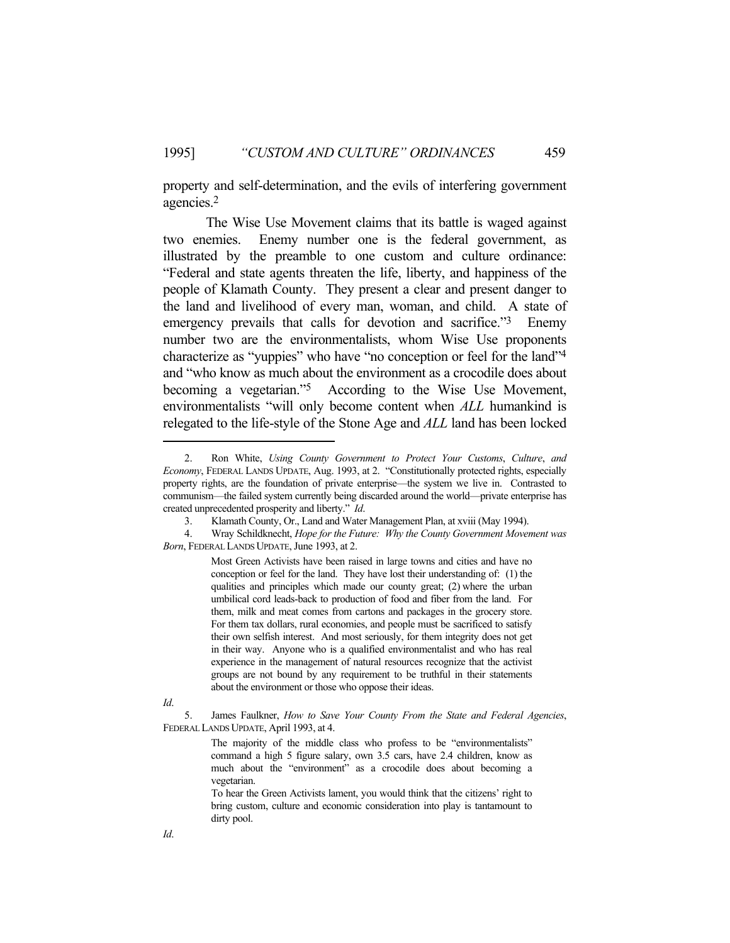property and self-determination, and the evils of interfering government agencies.2

 The Wise Use Movement claims that its battle is waged against two enemies. Enemy number one is the federal government, as illustrated by the preamble to one custom and culture ordinance: "Federal and state agents threaten the life, liberty, and happiness of the people of Klamath County. They present a clear and present danger to the land and livelihood of every man, woman, and child. A state of emergency prevails that calls for devotion and sacrifice."<sup>3</sup> Enemy number two are the environmentalists, whom Wise Use proponents characterize as "yuppies" who have "no conception or feel for the land"4 and "who know as much about the environment as a crocodile does about becoming a vegetarian."5 According to the Wise Use Movement, environmentalists "will only become content when *ALL* humankind is relegated to the life-style of the Stone Age and *ALL* land has been locked

*Id*.

 5. James Faulkner, *How to Save Your County From the State and Federal Agencies*, FEDERAL LANDS UPDATE, April 1993, at 4.

> The majority of the middle class who profess to be "environmentalists" command a high 5 figure salary, own 3.5 cars, have 2.4 children, know as much about the "environment" as a crocodile does about becoming a vegetarian.

> To hear the Green Activists lament, you would think that the citizens' right to bring custom, culture and economic consideration into play is tantamount to dirty pool.

 <sup>2.</sup> Ron White, *Using County Government to Protect Your Customs*, *Culture*, *and Economy*, FEDERAL LANDS UPDATE, Aug. 1993, at 2. "Constitutionally protected rights, especially property rights, are the foundation of private enterprise—the system we live in. Contrasted to communism—the failed system currently being discarded around the world—private enterprise has created unprecedented prosperity and liberty." *Id*.

 <sup>3.</sup> Klamath County, Or., Land and Water Management Plan, at xviii (May 1994).

 <sup>4.</sup> Wray Schildknecht, *Hope for the Future: Why the County Government Movement was Born*, FEDERAL LANDS UPDATE, June 1993, at 2.

Most Green Activists have been raised in large towns and cities and have no conception or feel for the land. They have lost their understanding of: (1) the qualities and principles which made our county great; (2) where the urban umbilical cord leads-back to production of food and fiber from the land. For them, milk and meat comes from cartons and packages in the grocery store. For them tax dollars, rural economies, and people must be sacrificed to satisfy their own selfish interest. And most seriously, for them integrity does not get in their way. Anyone who is a qualified environmentalist and who has real experience in the management of natural resources recognize that the activist groups are not bound by any requirement to be truthful in their statements about the environment or those who oppose their ideas.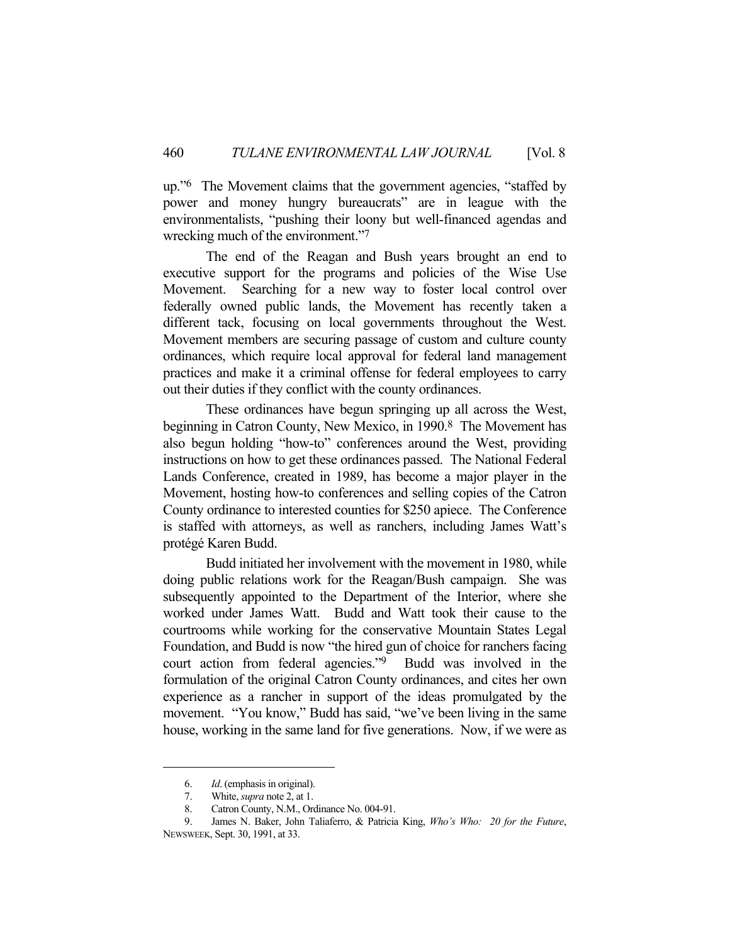up."6 The Movement claims that the government agencies, "staffed by power and money hungry bureaucrats" are in league with the environmentalists, "pushing their loony but well-financed agendas and wrecking much of the environment."7

 The end of the Reagan and Bush years brought an end to executive support for the programs and policies of the Wise Use Movement. Searching for a new way to foster local control over federally owned public lands, the Movement has recently taken a different tack, focusing on local governments throughout the West. Movement members are securing passage of custom and culture county ordinances, which require local approval for federal land management practices and make it a criminal offense for federal employees to carry out their duties if they conflict with the county ordinances.

 These ordinances have begun springing up all across the West, beginning in Catron County, New Mexico, in 1990.<sup>8</sup> The Movement has also begun holding "how-to" conferences around the West, providing instructions on how to get these ordinances passed. The National Federal Lands Conference, created in 1989, has become a major player in the Movement, hosting how-to conferences and selling copies of the Catron County ordinance to interested counties for \$250 apiece. The Conference is staffed with attorneys, as well as ranchers, including James Watt's protégé Karen Budd.

 Budd initiated her involvement with the movement in 1980, while doing public relations work for the Reagan/Bush campaign. She was subsequently appointed to the Department of the Interior, where she worked under James Watt. Budd and Watt took their cause to the courtrooms while working for the conservative Mountain States Legal Foundation, and Budd is now "the hired gun of choice for ranchers facing court action from federal agencies."9 Budd was involved in the formulation of the original Catron County ordinances, and cites her own experience as a rancher in support of the ideas promulgated by the movement. "You know," Budd has said, "we've been living in the same house, working in the same land for five generations. Now, if we were as

<sup>6.</sup> *Id*. (emphasis in original).

 <sup>7.</sup> White, *supra* note 2, at 1.

 <sup>8.</sup> Catron County, N.M., Ordinance No. 004-91.

 <sup>9.</sup> James N. Baker, John Taliaferro, & Patricia King, *Who's Who: 20 for the Future*, NEWSWEEK, Sept. 30, 1991, at 33.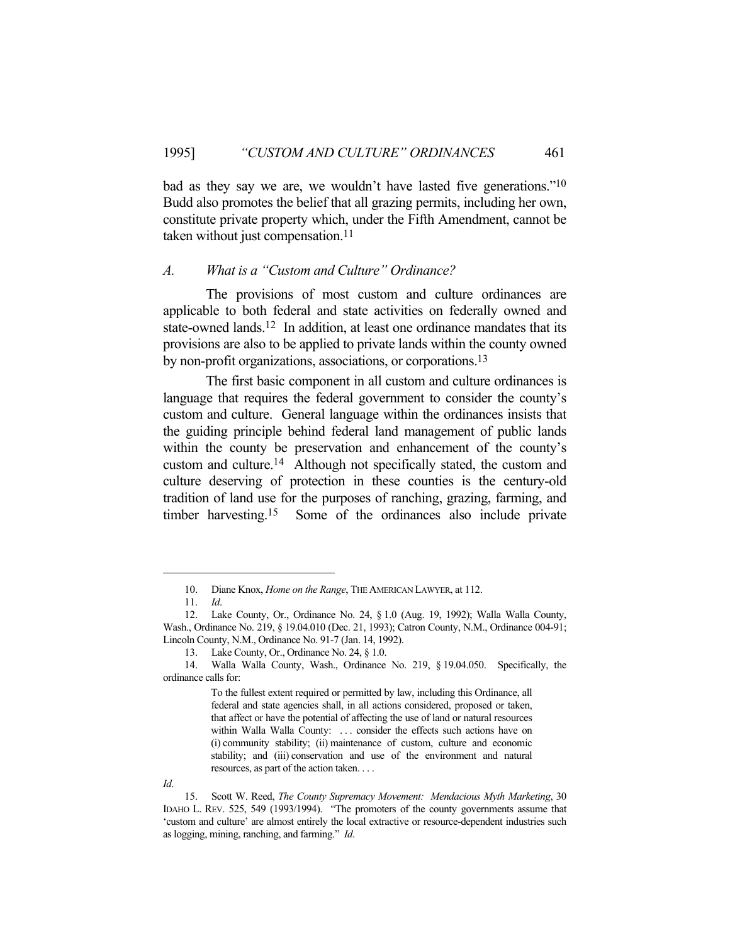bad as they say we are, we wouldn't have lasted five generations."<sup>10</sup> Budd also promotes the belief that all grazing permits, including her own, constitute private property which, under the Fifth Amendment, cannot be taken without just compensation.<sup>11</sup>

#### *A. What is a "Custom and Culture" Ordinance?*

 The provisions of most custom and culture ordinances are applicable to both federal and state activities on federally owned and state-owned lands.12 In addition, at least one ordinance mandates that its provisions are also to be applied to private lands within the county owned by non-profit organizations, associations, or corporations.13

 The first basic component in all custom and culture ordinances is language that requires the federal government to consider the county's custom and culture. General language within the ordinances insists that the guiding principle behind federal land management of public lands within the county be preservation and enhancement of the county's custom and culture.14 Although not specifically stated, the custom and culture deserving of protection in these counties is the century-old tradition of land use for the purposes of ranching, grazing, farming, and timber harvesting.15 Some of the ordinances also include private

*Id*.

 <sup>10.</sup> Diane Knox, *Home on the Range*, THE AMERICAN LAWYER, at 112.

 <sup>11.</sup> *Id*.

 <sup>12.</sup> Lake County, Or., Ordinance No. 24, § 1.0 (Aug. 19, 1992); Walla Walla County, Wash., Ordinance No. 219, § 19.04.010 (Dec. 21, 1993); Catron County, N.M., Ordinance 004-91; Lincoln County, N.M., Ordinance No. 91-7 (Jan. 14, 1992).

 <sup>13.</sup> Lake County, Or., Ordinance No. 24, § 1.0.

 <sup>14.</sup> Walla Walla County, Wash., Ordinance No. 219, § 19.04.050. Specifically, the ordinance calls for:

To the fullest extent required or permitted by law, including this Ordinance, all federal and state agencies shall, in all actions considered, proposed or taken, that affect or have the potential of affecting the use of land or natural resources within Walla Walla County: ... consider the effects such actions have on (i) community stability; (ii) maintenance of custom, culture and economic stability; and (iii) conservation and use of the environment and natural resources, as part of the action taken. . . .

 <sup>15.</sup> Scott W. Reed, *The County Supremacy Movement: Mendacious Myth Marketing*, 30 IDAHO L. REV. 525, 549 (1993/1994). "The promoters of the county governments assume that 'custom and culture' are almost entirely the local extractive or resource-dependent industries such as logging, mining, ranching, and farming." *Id*.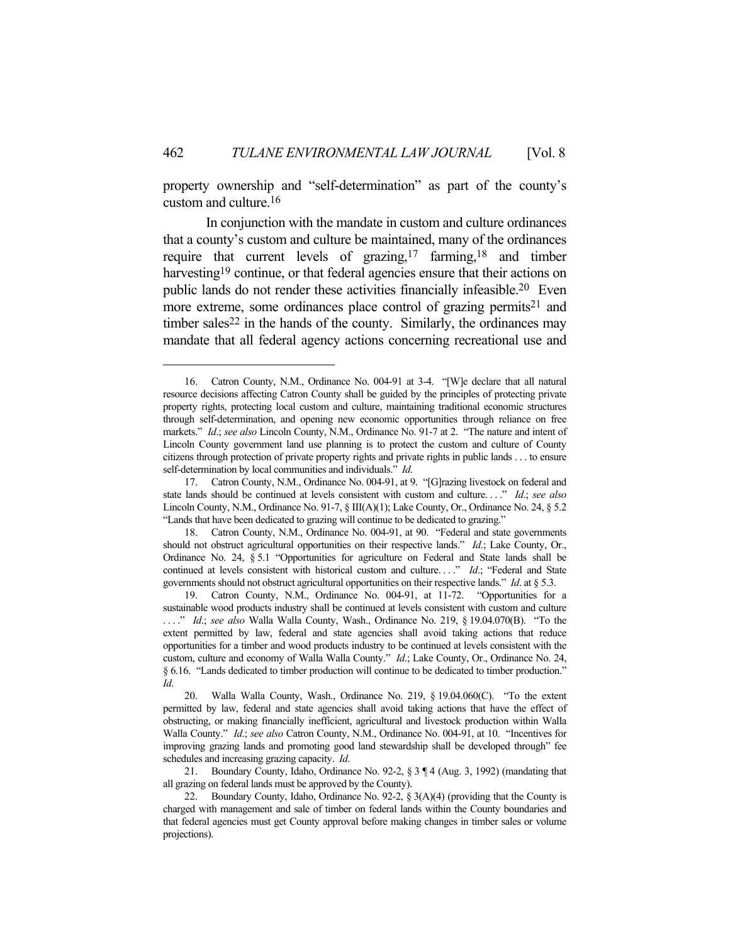property ownership and "self-determination" as part of the county's custom and culture.16

 In conjunction with the mandate in custom and culture ordinances that a county's custom and culture be maintained, many of the ordinances require that current levels of grazing,  $17 \text{ farming}, 18$  and timber harvesting<sup>19</sup> continue, or that federal agencies ensure that their actions on public lands do not render these activities financially infeasible.20 Even more extreme, some ordinances place control of grazing permits<sup>21</sup> and timber sales<sup>22</sup> in the hands of the county. Similarly, the ordinances may mandate that all federal agency actions concerning recreational use and

 <sup>16.</sup> Catron County, N.M., Ordinance No. 004-91 at 3-4. "[W]e declare that all natural resource decisions affecting Catron County shall be guided by the principles of protecting private property rights, protecting local custom and culture, maintaining traditional economic structures through self-determination, and opening new economic opportunities through reliance on free markets." *Id*.; *see also* Lincoln County, N.M., Ordinance No. 91-7 at 2. "The nature and intent of Lincoln County government land use planning is to protect the custom and culture of County citizens through protection of private property rights and private rights in public lands . . . to ensure self-determination by local communities and individuals." *Id*.

 <sup>17.</sup> Catron County, N.M., Ordinance No. 004-91, at 9. "[G]razing livestock on federal and state lands should be continued at levels consistent with custom and culture. . . ." *Id*.; *see also* Lincoln County, N.M., Ordinance No. 91-7, § III(A)(1); Lake County, Or., Ordinance No. 24, § 5.2 "Lands that have been dedicated to grazing will continue to be dedicated to grazing."

 <sup>18.</sup> Catron County, N.M., Ordinance No. 004-91, at 90. "Federal and state governments should not obstruct agricultural opportunities on their respective lands." *Id*.; Lake County, Or., Ordinance No. 24, § 5.1 "Opportunities for agriculture on Federal and State lands shall be continued at levels consistent with historical custom and culture...." *Id*.; "Federal and State governments should not obstruct agricultural opportunities on their respective lands." *Id*. at § 5.3.

 <sup>19.</sup> Catron County, N.M., Ordinance No. 004-91, at 11-72. "Opportunities for a sustainable wood products industry shall be continued at levels consistent with custom and culture . . . ." *Id*.; *see also* Walla Walla County, Wash., Ordinance No. 219, § 19.04.070(B). "To the extent permitted by law, federal and state agencies shall avoid taking actions that reduce opportunities for a timber and wood products industry to be continued at levels consistent with the custom, culture and economy of Walla Walla County." *Id*.; Lake County, Or., Ordinance No. 24, § 6.16. "Lands dedicated to timber production will continue to be dedicated to timber production." *Id*.

 <sup>20.</sup> Walla Walla County, Wash., Ordinance No. 219, § 19.04.060(C). "To the extent permitted by law, federal and state agencies shall avoid taking actions that have the effect of obstructing, or making financially inefficient, agricultural and livestock production within Walla Walla County." *Id*.; *see also* Catron County, N.M., Ordinance No. 004-91, at 10. "Incentives for improving grazing lands and promoting good land stewardship shall be developed through" fee schedules and increasing grazing capacity. *Id*.

 <sup>21.</sup> Boundary County, Idaho, Ordinance No. 92-2, § 3 ¶ 4 (Aug. 3, 1992) (mandating that all grazing on federal lands must be approved by the County).

 <sup>22.</sup> Boundary County, Idaho, Ordinance No. 92-2, § 3(A)(4) (providing that the County is charged with management and sale of timber on federal lands within the County boundaries and that federal agencies must get County approval before making changes in timber sales or volume projections).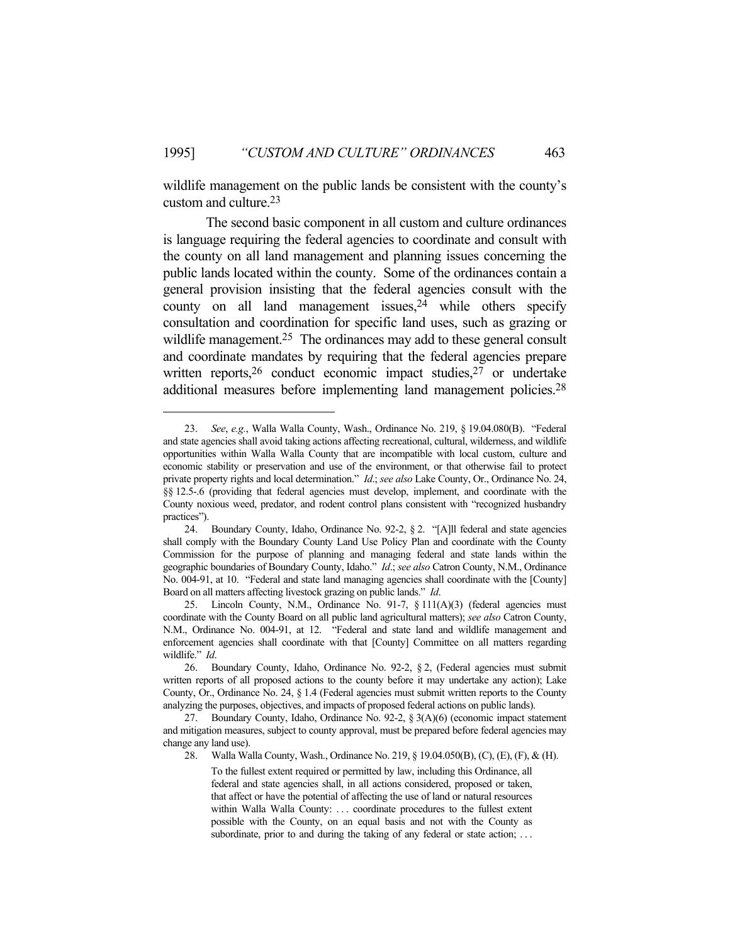wildlife management on the public lands be consistent with the county's custom and culture.23

 The second basic component in all custom and culture ordinances is language requiring the federal agencies to coordinate and consult with the county on all land management and planning issues concerning the public lands located within the county. Some of the ordinances contain a general provision insisting that the federal agencies consult with the county on all land management issues, $24$  while others specify consultation and coordination for specific land uses, such as grazing or wildlife management.<sup>25</sup> The ordinances may add to these general consult and coordinate mandates by requiring that the federal agencies prepare written reports,  $26$  conduct economic impact studies,  $27$  or undertake additional measures before implementing land management policies.28

28. Walla Walla County, Wash., Ordinance No. 219, § 19.04.050(B), (C), (E), (F), & (H).

 <sup>23.</sup> *See*, *e.g.*, Walla Walla County, Wash., Ordinance No. 219, § 19.04.080(B). "Federal and state agencies shall avoid taking actions affecting recreational, cultural, wilderness, and wildlife opportunities within Walla Walla County that are incompatible with local custom, culture and economic stability or preservation and use of the environment, or that otherwise fail to protect private property rights and local determination." *Id*.; *see also* Lake County, Or., Ordinance No. 24, §§ 12.5-.6 (providing that federal agencies must develop, implement, and coordinate with the County noxious weed, predator, and rodent control plans consistent with "recognized husbandry practices").

 <sup>24.</sup> Boundary County, Idaho, Ordinance No. 92-2, § 2. "[A]ll federal and state agencies shall comply with the Boundary County Land Use Policy Plan and coordinate with the County Commission for the purpose of planning and managing federal and state lands within the geographic boundaries of Boundary County, Idaho." *Id*.; *see also* Catron County, N.M., Ordinance No. 004-91, at 10. "Federal and state land managing agencies shall coordinate with the [County] Board on all matters affecting livestock grazing on public lands." *Id*.

 <sup>25.</sup> Lincoln County, N.M., Ordinance No. 91-7, § 111(A)(3) (federal agencies must coordinate with the County Board on all public land agricultural matters); *see also* Catron County, N.M., Ordinance No. 004-91, at 12. "Federal and state land and wildlife management and enforcement agencies shall coordinate with that [County] Committee on all matters regarding wildlife." *Id*.

 <sup>26.</sup> Boundary County, Idaho, Ordinance No. 92-2, § 2, (Federal agencies must submit written reports of all proposed actions to the county before it may undertake any action); Lake County, Or., Ordinance No. 24, § 1.4 (Federal agencies must submit written reports to the County analyzing the purposes, objectives, and impacts of proposed federal actions on public lands).

 <sup>27.</sup> Boundary County, Idaho, Ordinance No. 92-2, § 3(A)(6) (economic impact statement and mitigation measures, subject to county approval, must be prepared before federal agencies may change any land use).

To the fullest extent required or permitted by law, including this Ordinance, all federal and state agencies shall, in all actions considered, proposed or taken, that affect or have the potential of affecting the use of land or natural resources within Walla Walla County: ... coordinate procedures to the fullest extent possible with the County, on an equal basis and not with the County as subordinate, prior to and during the taking of any federal or state action; ...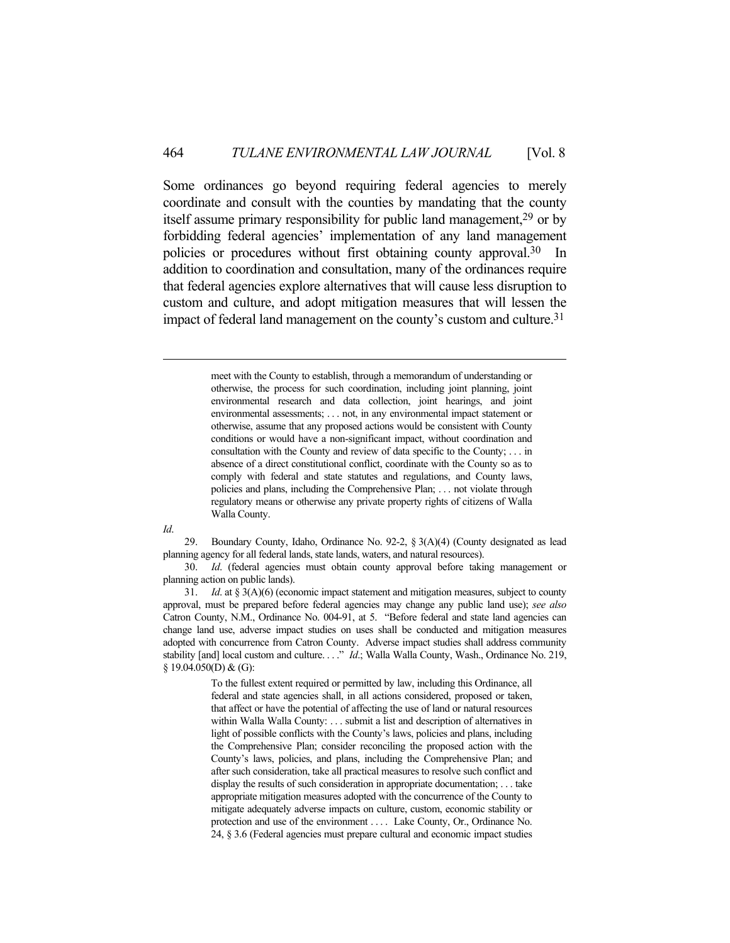Some ordinances go beyond requiring federal agencies to merely coordinate and consult with the counties by mandating that the county itself assume primary responsibility for public land management,<sup>29</sup> or by forbidding federal agencies' implementation of any land management policies or procedures without first obtaining county approval.30 In addition to coordination and consultation, many of the ordinances require that federal agencies explore alternatives that will cause less disruption to custom and culture, and adopt mitigation measures that will lessen the impact of federal land management on the county's custom and culture.<sup>31</sup>

> meet with the County to establish, through a memorandum of understanding or otherwise, the process for such coordination, including joint planning, joint environmental research and data collection, joint hearings, and joint environmental assessments; . . . not, in any environmental impact statement or otherwise, assume that any proposed actions would be consistent with County conditions or would have a non-significant impact, without coordination and consultation with the County and review of data specific to the County; . . . in absence of a direct constitutional conflict, coordinate with the County so as to comply with federal and state statutes and regulations, and County laws, policies and plans, including the Comprehensive Plan; . . . not violate through regulatory means or otherwise any private property rights of citizens of Walla Walla County.

*Id*.

 29. Boundary County, Idaho, Ordinance No. 92-2, § 3(A)(4) (County designated as lead planning agency for all federal lands, state lands, waters, and natural resources).

 30. *Id*. (federal agencies must obtain county approval before taking management or planning action on public lands).

31. *Id.* at § 3(A)(6) (economic impact statement and mitigation measures, subject to county approval, must be prepared before federal agencies may change any public land use); *see also* Catron County, N.M., Ordinance No. 004-91, at 5. "Before federal and state land agencies can change land use, adverse impact studies on uses shall be conducted and mitigation measures adopted with concurrence from Catron County. Adverse impact studies shall address community stability [and] local custom and culture. . . ." *Id*.; Walla Walla County, Wash., Ordinance No. 219, § 19.04.050(D) & (G):

> To the fullest extent required or permitted by law, including this Ordinance, all federal and state agencies shall, in all actions considered, proposed or taken, that affect or have the potential of affecting the use of land or natural resources within Walla Walla County: . . . submit a list and description of alternatives in light of possible conflicts with the County's laws, policies and plans, including the Comprehensive Plan; consider reconciling the proposed action with the County's laws, policies, and plans, including the Comprehensive Plan; and after such consideration, take all practical measures to resolve such conflict and display the results of such consideration in appropriate documentation; . . . take appropriate mitigation measures adopted with the concurrence of the County to mitigate adequately adverse impacts on culture, custom, economic stability or protection and use of the environment . . . . Lake County, Or., Ordinance No. 24, § 3.6 (Federal agencies must prepare cultural and economic impact studies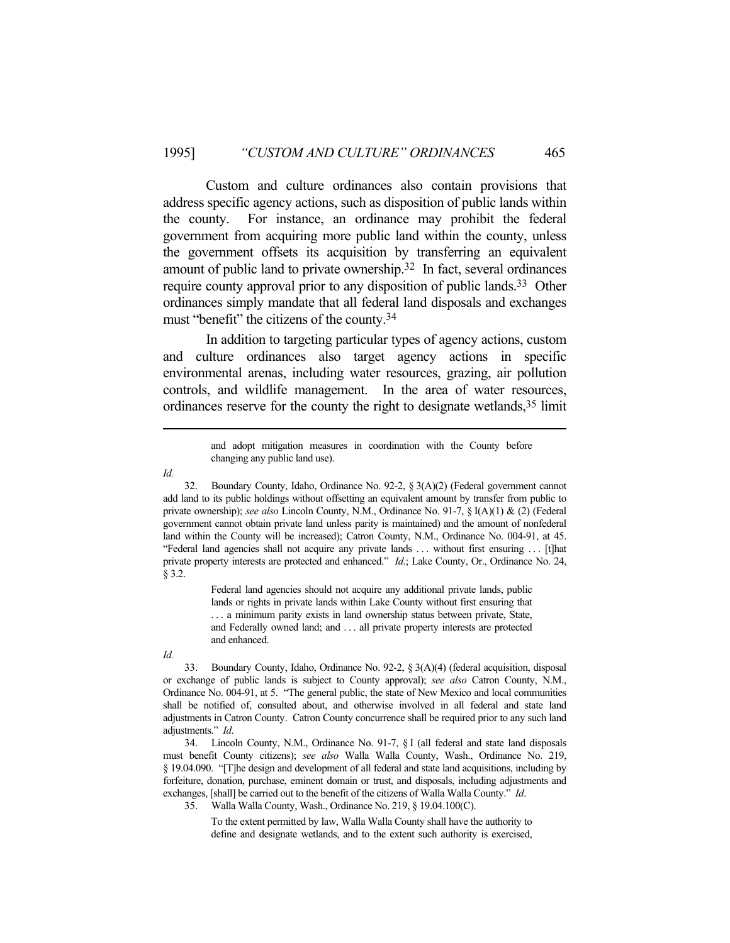Custom and culture ordinances also contain provisions that address specific agency actions, such as disposition of public lands within the county. For instance, an ordinance may prohibit the federal government from acquiring more public land within the county, unless the government offsets its acquisition by transferring an equivalent amount of public land to private ownership.32 In fact, several ordinances require county approval prior to any disposition of public lands.33 Other ordinances simply mandate that all federal land disposals and exchanges must "benefit" the citizens of the county.<sup>34</sup>

 In addition to targeting particular types of agency actions, custom and culture ordinances also target agency actions in specific environmental arenas, including water resources, grazing, air pollution controls, and wildlife management. In the area of water resources, ordinances reserve for the county the right to designate wetlands,<sup>35</sup> limit

*Id.*

Federal land agencies should not acquire any additional private lands, public lands or rights in private lands within Lake County without first ensuring that . . . a minimum parity exists in land ownership status between private, State, and Federally owned land; and . . . all private property interests are protected and enhanced.

#### *Id.*

 34. Lincoln County, N.M., Ordinance No. 91-7, § I (all federal and state land disposals must benefit County citizens); *see also* Walla Walla County, Wash., Ordinance No. 219, § 19.04.090. "[T]he design and development of all federal and state land acquisitions, including by forfeiture, donation, purchase, eminent domain or trust, and disposals, including adjustments and exchanges, [shall] be carried out to the benefit of the citizens of Walla Walla County." *Id*.

35. Walla Walla County, Wash., Ordinance No. 219, § 19.04.100(C).

To the extent permitted by law, Walla Walla County shall have the authority to define and designate wetlands, and to the extent such authority is exercised,

and adopt mitigation measures in coordination with the County before changing any public land use).

 <sup>32.</sup> Boundary County, Idaho, Ordinance No. 92-2, § 3(A)(2) (Federal government cannot add land to its public holdings without offsetting an equivalent amount by transfer from public to private ownership); *see also* Lincoln County, N.M., Ordinance No. 91-7, § I(A)(1) & (2) (Federal government cannot obtain private land unless parity is maintained) and the amount of nonfederal land within the County will be increased); Catron County, N.M., Ordinance No. 004-91, at 45. "Federal land agencies shall not acquire any private lands . . . without first ensuring . . . [t]hat private property interests are protected and enhanced." *Id*.; Lake County, Or., Ordinance No. 24, § 3.2.

 <sup>33.</sup> Boundary County, Idaho, Ordinance No. 92-2, § 3(A)(4) (federal acquisition, disposal or exchange of public lands is subject to County approval); *see also* Catron County, N.M., Ordinance No. 004-91, at 5. "The general public, the state of New Mexico and local communities shall be notified of, consulted about, and otherwise involved in all federal and state land adjustments in Catron County. Catron County concurrence shall be required prior to any such land adjustments." *Id*.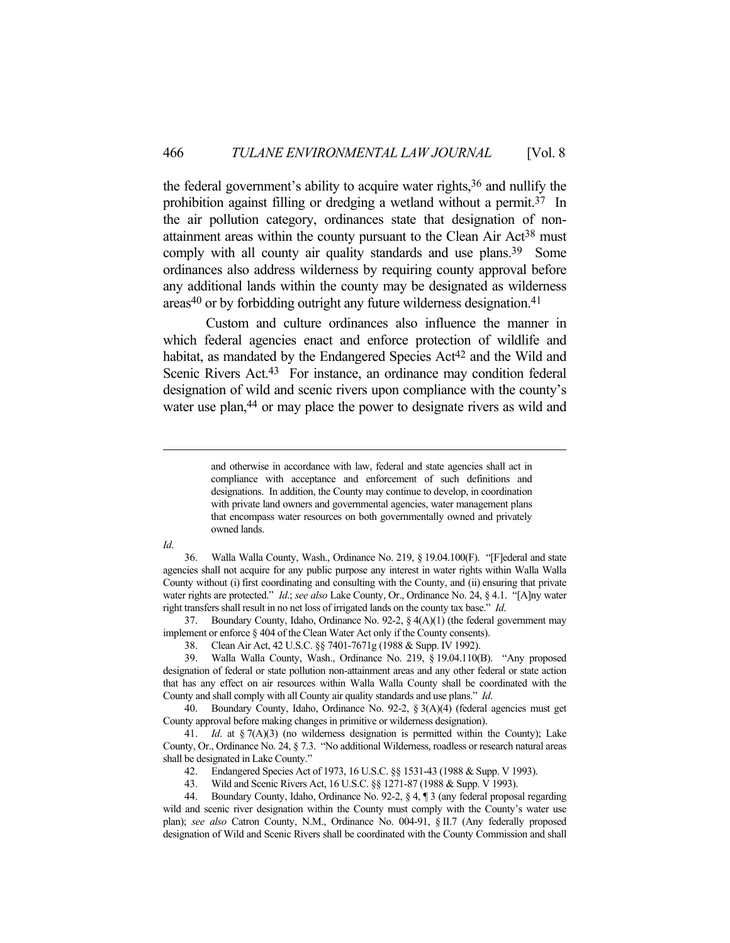the federal government's ability to acquire water rights,  $36$  and nullify the prohibition against filling or dredging a wetland without a permit.37 In the air pollution category, ordinances state that designation of nonattainment areas within the county pursuant to the Clean Air Act<sup>38</sup> must comply with all county air quality standards and use plans.<sup>39</sup> Some ordinances also address wilderness by requiring county approval before any additional lands within the county may be designated as wilderness  $a$ reas<sup>40</sup> or by forbidding outright any future wilderness designation.<sup>41</sup>

 Custom and culture ordinances also influence the manner in which federal agencies enact and enforce protection of wildlife and habitat, as mandated by the Endangered Species Act<sup>42</sup> and the Wild and Scenic Rivers Act.<sup>43</sup> For instance, an ordinance may condition federal designation of wild and scenic rivers upon compliance with the county's water use plan,<sup>44</sup> or may place the power to designate rivers as wild and

*Id*.

 36. Walla Walla County, Wash., Ordinance No. 219, § 19.04.100(F). "[F]ederal and state agencies shall not acquire for any public purpose any interest in water rights within Walla Walla County without (i) first coordinating and consulting with the County, and (ii) ensuring that private water rights are protected." *Id*.; *see also* Lake County, Or., Ordinance No. 24, § 4.1. "[A]ny water right transfers shall result in no net loss of irrigated lands on the county tax base." *Id*.

 37. Boundary County, Idaho, Ordinance No. 92-2, § 4(A)(1) (the federal government may implement or enforce § 404 of the Clean Water Act only if the County consents).

38. Clean Air Act, 42 U.S.C. §§ 7401-7671g (1988 & Supp. IV 1992).

 39. Walla Walla County, Wash., Ordinance No. 219, § 19.04.110(B). "Any proposed designation of federal or state pollution non-attainment areas and any other federal or state action that has any effect on air resources within Walla Walla County shall be coordinated with the County and shall comply with all County air quality standards and use plans." *Id*.

 40. Boundary County, Idaho, Ordinance No. 92-2, § 3(A)(4) (federal agencies must get County approval before making changes in primitive or wilderness designation).

 41. *Id*. at § 7(A)(3) (no wilderness designation is permitted within the County); Lake County, Or., Ordinance No. 24, § 7.3. "No additional Wilderness, roadless or research natural areas shall be designated in Lake County."

42. Endangered Species Act of 1973, 16 U.S.C. §§ 1531-43 (1988 & Supp. V 1993).

43. Wild and Scenic Rivers Act, 16 U.S.C. §§ 1271-87 (1988 & Supp. V 1993).

 44. Boundary County, Idaho, Ordinance No. 92-2, § 4, ¶ 3 (any federal proposal regarding wild and scenic river designation within the County must comply with the County's water use plan); *see also* Catron County, N.M., Ordinance No. 004-91, § II.7 (Any federally proposed designation of Wild and Scenic Rivers shall be coordinated with the County Commission and shall

and otherwise in accordance with law, federal and state agencies shall act in compliance with acceptance and enforcement of such definitions and designations. In addition, the County may continue to develop, in coordination with private land owners and governmental agencies, water management plans that encompass water resources on both governmentally owned and privately owned lands.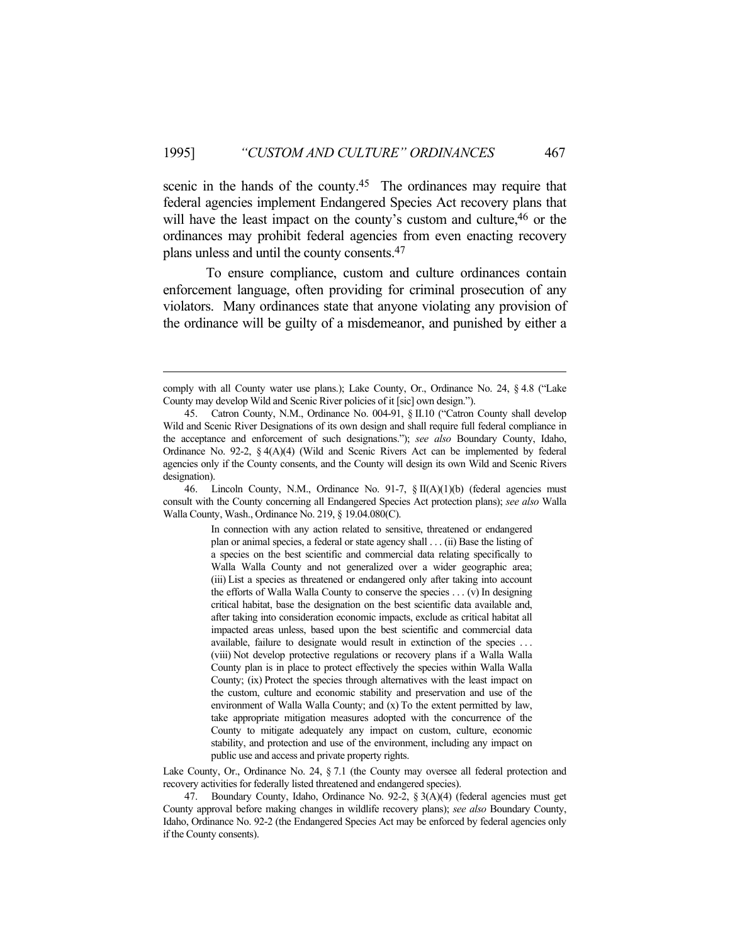scenic in the hands of the county.<sup>45</sup> The ordinances may require that federal agencies implement Endangered Species Act recovery plans that will have the least impact on the county's custom and culture, 46 or the ordinances may prohibit federal agencies from even enacting recovery plans unless and until the county consents.47

 To ensure compliance, custom and culture ordinances contain enforcement language, often providing for criminal prosecution of any violators. Many ordinances state that anyone violating any provision of the ordinance will be guilty of a misdemeanor, and punished by either a

comply with all County water use plans.); Lake County, Or., Ordinance No. 24, § 4.8 ("Lake County may develop Wild and Scenic River policies of it [sic] own design.").

 <sup>45.</sup> Catron County, N.M., Ordinance No. 004-91, § II.10 ("Catron County shall develop Wild and Scenic River Designations of its own design and shall require full federal compliance in the acceptance and enforcement of such designations."); *see also* Boundary County, Idaho, Ordinance No. 92-2, § 4(A)(4) (Wild and Scenic Rivers Act can be implemented by federal agencies only if the County consents, and the County will design its own Wild and Scenic Rivers designation).

 <sup>46.</sup> Lincoln County, N.M., Ordinance No. 91-7, § II(A)(1)(b) (federal agencies must consult with the County concerning all Endangered Species Act protection plans); *see also* Walla Walla County, Wash., Ordinance No. 219, § 19.04.080(C).

In connection with any action related to sensitive, threatened or endangered plan or animal species, a federal or state agency shall . . . (ii) Base the listing of a species on the best scientific and commercial data relating specifically to Walla Walla County and not generalized over a wider geographic area; (iii) List a species as threatened or endangered only after taking into account the efforts of Walla Walla County to conserve the species . . . (v) In designing critical habitat, base the designation on the best scientific data available and, after taking into consideration economic impacts, exclude as critical habitat all impacted areas unless, based upon the best scientific and commercial data available, failure to designate would result in extinction of the species ... (viii) Not develop protective regulations or recovery plans if a Walla Walla County plan is in place to protect effectively the species within Walla Walla County; (ix) Protect the species through alternatives with the least impact on the custom, culture and economic stability and preservation and use of the environment of Walla Walla County; and (x) To the extent permitted by law, take appropriate mitigation measures adopted with the concurrence of the County to mitigate adequately any impact on custom, culture, economic stability, and protection and use of the environment, including any impact on public use and access and private property rights.

Lake County, Or., Ordinance No. 24, § 7.1 (the County may oversee all federal protection and recovery activities for federally listed threatened and endangered species).

 <sup>47.</sup> Boundary County, Idaho, Ordinance No. 92-2, § 3(A)(4) (federal agencies must get County approval before making changes in wildlife recovery plans); *see also* Boundary County, Idaho, Ordinance No. 92-2 (the Endangered Species Act may be enforced by federal agencies only if the County consents).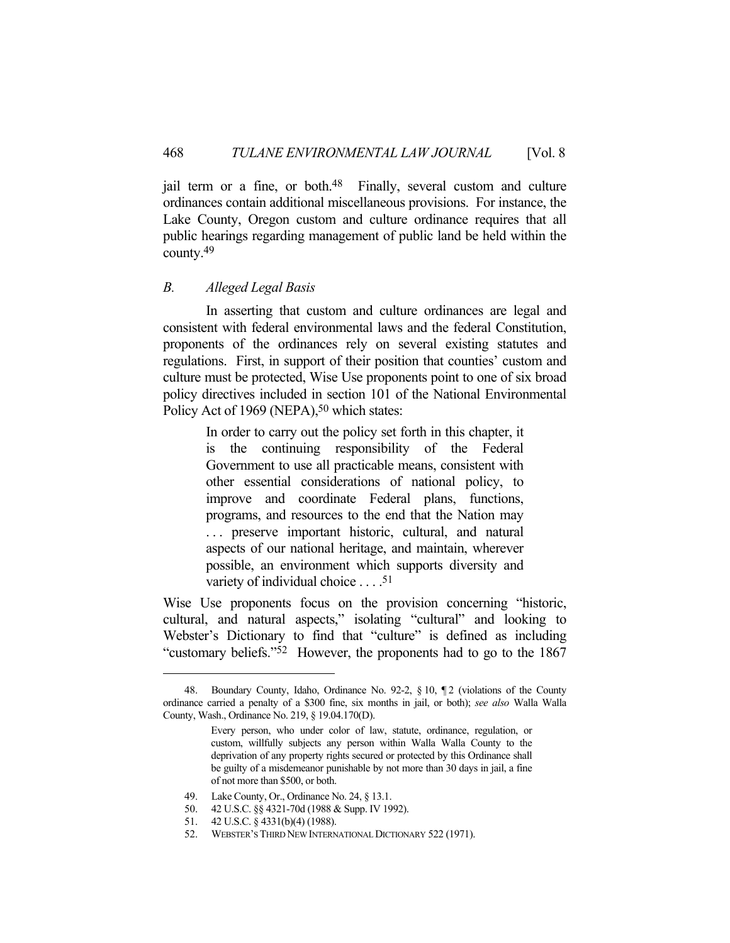jail term or a fine, or both.<sup>48</sup> Finally, several custom and culture ordinances contain additional miscellaneous provisions. For instance, the Lake County, Oregon custom and culture ordinance requires that all public hearings regarding management of public land be held within the county.49

### *B. Alleged Legal Basis*

 In asserting that custom and culture ordinances are legal and consistent with federal environmental laws and the federal Constitution, proponents of the ordinances rely on several existing statutes and regulations. First, in support of their position that counties' custom and culture must be protected, Wise Use proponents point to one of six broad policy directives included in section 101 of the National Environmental Policy Act of 1969 (NEPA),<sup>50</sup> which states:

> In order to carry out the policy set forth in this chapter, it is the continuing responsibility of the Federal Government to use all practicable means, consistent with other essential considerations of national policy, to improve and coordinate Federal plans, functions, programs, and resources to the end that the Nation may . . . preserve important historic, cultural, and natural aspects of our national heritage, and maintain, wherever possible, an environment which supports diversity and variety of individual choice . . . .51

Wise Use proponents focus on the provision concerning "historic, cultural, and natural aspects," isolating "cultural" and looking to Webster's Dictionary to find that "culture" is defined as including "customary beliefs."52 However, the proponents had to go to the 1867

 <sup>48.</sup> Boundary County, Idaho, Ordinance No. 92-2, § 10, ¶ 2 (violations of the County ordinance carried a penalty of a \$300 fine, six months in jail, or both); *see also* Walla Walla County, Wash., Ordinance No. 219, § 19.04.170(D).

Every person, who under color of law, statute, ordinance, regulation, or custom, willfully subjects any person within Walla Walla County to the deprivation of any property rights secured or protected by this Ordinance shall be guilty of a misdemeanor punishable by not more than 30 days in jail, a fine of not more than \$500, or both.

 <sup>49.</sup> Lake County, Or., Ordinance No. 24, § 13.1.

 <sup>50. 42</sup> U.S.C. §§ 4321-70d (1988 & Supp. IV 1992).

 <sup>51. 42</sup> U.S.C. § 4331(b)(4) (1988).

 <sup>52.</sup> WEBSTER'S THIRD NEW INTERNATIONAL DICTIONARY 522 (1971).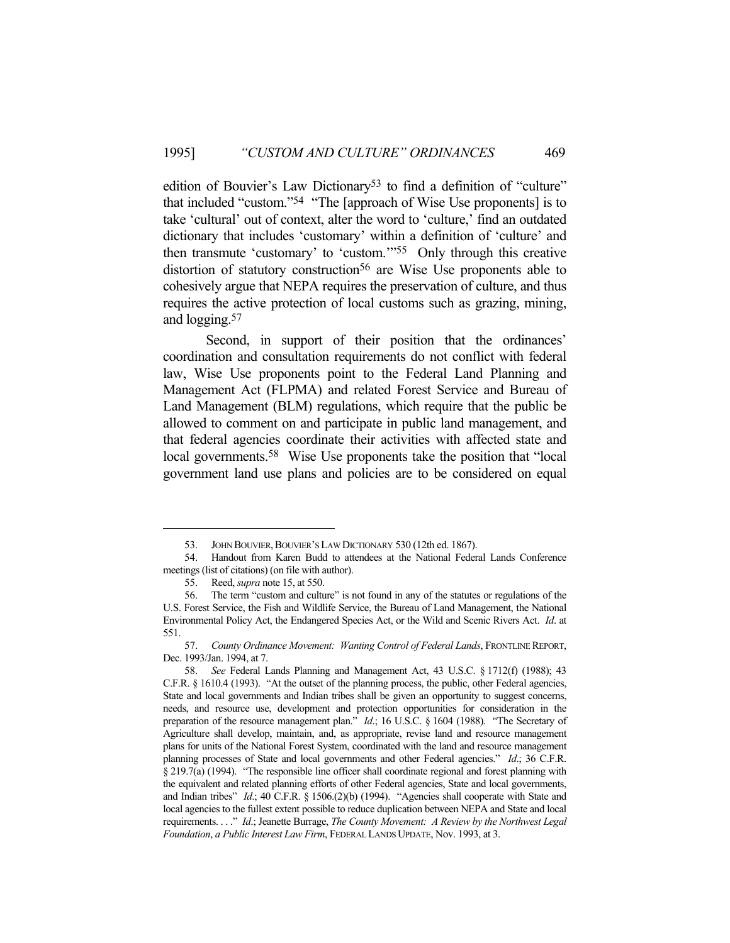edition of Bouvier's Law Dictionary<sup>53</sup> to find a definition of "culture" that included "custom."54 "The [approach of Wise Use proponents] is to take 'cultural' out of context, alter the word to 'culture,' find an outdated dictionary that includes 'customary' within a definition of 'culture' and then transmute 'customary' to 'custom.'"55 Only through this creative distortion of statutory construction<sup>56</sup> are Wise Use proponents able to cohesively argue that NEPA requires the preservation of culture, and thus requires the active protection of local customs such as grazing, mining, and logging.57

 Second, in support of their position that the ordinances' coordination and consultation requirements do not conflict with federal law, Wise Use proponents point to the Federal Land Planning and Management Act (FLPMA) and related Forest Service and Bureau of Land Management (BLM) regulations, which require that the public be allowed to comment on and participate in public land management, and that federal agencies coordinate their activities with affected state and local governments.<sup>58</sup> Wise Use proponents take the position that "local government land use plans and policies are to be considered on equal

<sup>53.</sup> JOHN BOUVIER, BOUVIER'S LAW DICTIONARY 530 (12th ed. 1867).

 <sup>54.</sup> Handout from Karen Budd to attendees at the National Federal Lands Conference meetings (list of citations) (on file with author).

 <sup>55.</sup> Reed, *supra* note 15, at 550.

 <sup>56.</sup> The term "custom and culture" is not found in any of the statutes or regulations of the U.S. Forest Service, the Fish and Wildlife Service, the Bureau of Land Management, the National Environmental Policy Act, the Endangered Species Act, or the Wild and Scenic Rivers Act. *Id*. at 551.

<sup>57.</sup> *County Ordinance Movement: Wanting Control of Federal Lands*, FRONTLINE REPORT, Dec. 1993/Jan. 1994, at 7.

<sup>58.</sup> *See* Federal Lands Planning and Management Act, 43 U.S.C. § 1712(f) (1988); 43 C.F.R. § 1610.4 (1993). "At the outset of the planning process, the public, other Federal agencies, State and local governments and Indian tribes shall be given an opportunity to suggest concerns, needs, and resource use, development and protection opportunities for consideration in the preparation of the resource management plan." *Id.*; 16 U.S.C. § 1604 (1988). "The Secretary of Agriculture shall develop, maintain, and, as appropriate, revise land and resource management plans for units of the National Forest System, coordinated with the land and resource management planning processes of State and local governments and other Federal agencies." *Id*.; 36 C.F.R. § 219.7(a) (1994). "The responsible line officer shall coordinate regional and forest planning with the equivalent and related planning efforts of other Federal agencies, State and local governments, and Indian tribes" *Id*.; 40 C.F.R. § 1506.(2)(b) (1994). "Agencies shall cooperate with State and local agencies to the fullest extent possible to reduce duplication between NEPA and State and local requirements. . . ." *Id*.; Jeanette Burrage, *The County Movement: A Review by the Northwest Legal Foundation*, *a Public Interest Law Firm*, FEDERAL LANDS UPDATE, Nov. 1993, at 3.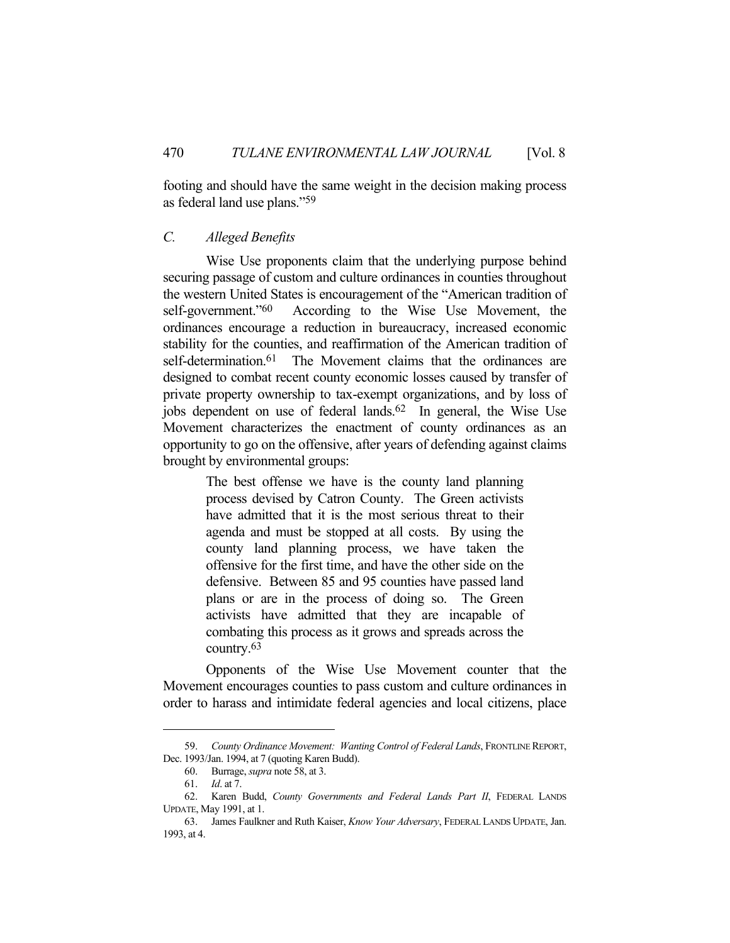footing and should have the same weight in the decision making process as federal land use plans."59

### *C. Alleged Benefits*

 Wise Use proponents claim that the underlying purpose behind securing passage of custom and culture ordinances in counties throughout the western United States is encouragement of the "American tradition of self-government."60 According to the Wise Use Movement, the ordinances encourage a reduction in bureaucracy, increased economic stability for the counties, and reaffirmation of the American tradition of self-determination.<sup>61</sup> The Movement claims that the ordinances are designed to combat recent county economic losses caused by transfer of private property ownership to tax-exempt organizations, and by loss of jobs dependent on use of federal lands.<sup>62</sup> In general, the Wise Use Movement characterizes the enactment of county ordinances as an opportunity to go on the offensive, after years of defending against claims brought by environmental groups:

> The best offense we have is the county land planning process devised by Catron County. The Green activists have admitted that it is the most serious threat to their agenda and must be stopped at all costs. By using the county land planning process, we have taken the offensive for the first time, and have the other side on the defensive. Between 85 and 95 counties have passed land plans or are in the process of doing so. The Green activists have admitted that they are incapable of combating this process as it grows and spreads across the country.63

 Opponents of the Wise Use Movement counter that the Movement encourages counties to pass custom and culture ordinances in order to harass and intimidate federal agencies and local citizens, place

<sup>59.</sup> *County Ordinance Movement: Wanting Control of Federal Lands*, FRONTLINE REPORT, Dec. 1993/Jan. 1994, at 7 (quoting Karen Budd).

 <sup>60.</sup> Burrage, *supra* note 58, at 3.

<sup>61.</sup> *Id*. at 7.

 <sup>62.</sup> Karen Budd, *County Governments and Federal Lands Part II*, FEDERAL LANDS UPDATE, May 1991, at 1.

 <sup>63.</sup> James Faulkner and Ruth Kaiser, *Know Your Adversary*, FEDERAL LANDS UPDATE, Jan. 1993, at 4.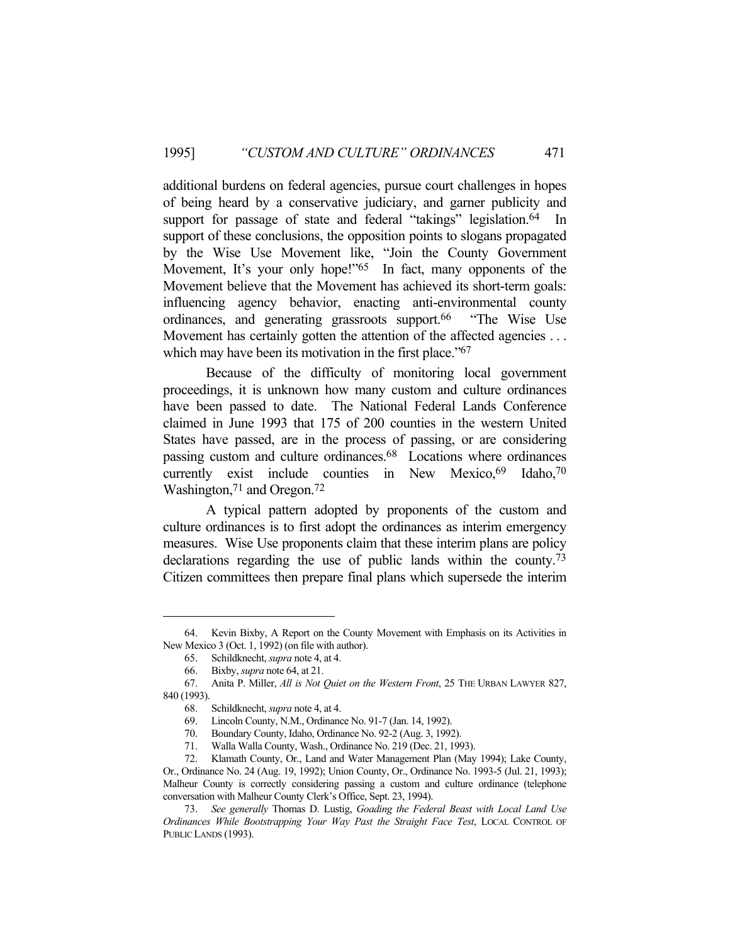additional burdens on federal agencies, pursue court challenges in hopes of being heard by a conservative judiciary, and garner publicity and support for passage of state and federal "takings" legislation.<sup>64</sup> In support of these conclusions, the opposition points to slogans propagated by the Wise Use Movement like, "Join the County Government Movement, It's your only hope!"<sup>65</sup> In fact, many opponents of the Movement believe that the Movement has achieved its short-term goals: influencing agency behavior, enacting anti-environmental county ordinances, and generating grassroots support.66 "The Wise Use Movement has certainly gotten the attention of the affected agencies ... which may have been its motivation in the first place."<sup>67</sup>

 Because of the difficulty of monitoring local government proceedings, it is unknown how many custom and culture ordinances have been passed to date. The National Federal Lands Conference claimed in June 1993 that 175 of 200 counties in the western United States have passed, are in the process of passing, or are considering passing custom and culture ordinances.68 Locations where ordinances currently exist include counties in New Mexico, <sup>69</sup> Idaho, <sup>70</sup> Washington,<sup>71</sup> and Oregon.<sup>72</sup>

 A typical pattern adopted by proponents of the custom and culture ordinances is to first adopt the ordinances as interim emergency measures. Wise Use proponents claim that these interim plans are policy declarations regarding the use of public lands within the county.73 Citizen committees then prepare final plans which supersede the interim

 <sup>64.</sup> Kevin Bixby, A Report on the County Movement with Emphasis on its Activities in New Mexico 3 (Oct. 1, 1992) (on file with author).

 <sup>65.</sup> Schildknecht, *supra* note 4, at 4.

 <sup>66.</sup> Bixby, *supra* note 64, at 21.

 <sup>67.</sup> Anita P. Miller, *All is Not Quiet on the Western Front*, 25 THE URBAN LAWYER 827, 840 (1993).

 <sup>68.</sup> Schildknecht, *supra* note 4, at 4.

 <sup>69.</sup> Lincoln County, N.M., Ordinance No. 91-7 (Jan. 14, 1992).

 <sup>70.</sup> Boundary County, Idaho, Ordinance No. 92-2 (Aug. 3, 1992).

 <sup>71.</sup> Walla Walla County, Wash., Ordinance No. 219 (Dec. 21, 1993).

 <sup>72.</sup> Klamath County, Or., Land and Water Management Plan (May 1994); Lake County,

Or., Ordinance No. 24 (Aug. 19, 1992); Union County, Or., Ordinance No. 1993-5 (Jul. 21, 1993); Malheur County is correctly considering passing a custom and culture ordinance (telephone conversation with Malheur County Clerk's Office, Sept. 23, 1994).

 <sup>73.</sup> *See generally* Thomas D. Lustig, *Goading the Federal Beast with Local Land Use Ordinances While Bootstrapping Your Way Past the Straight Face Test*, LOCAL CONTROL OF PUBLIC LANDS (1993).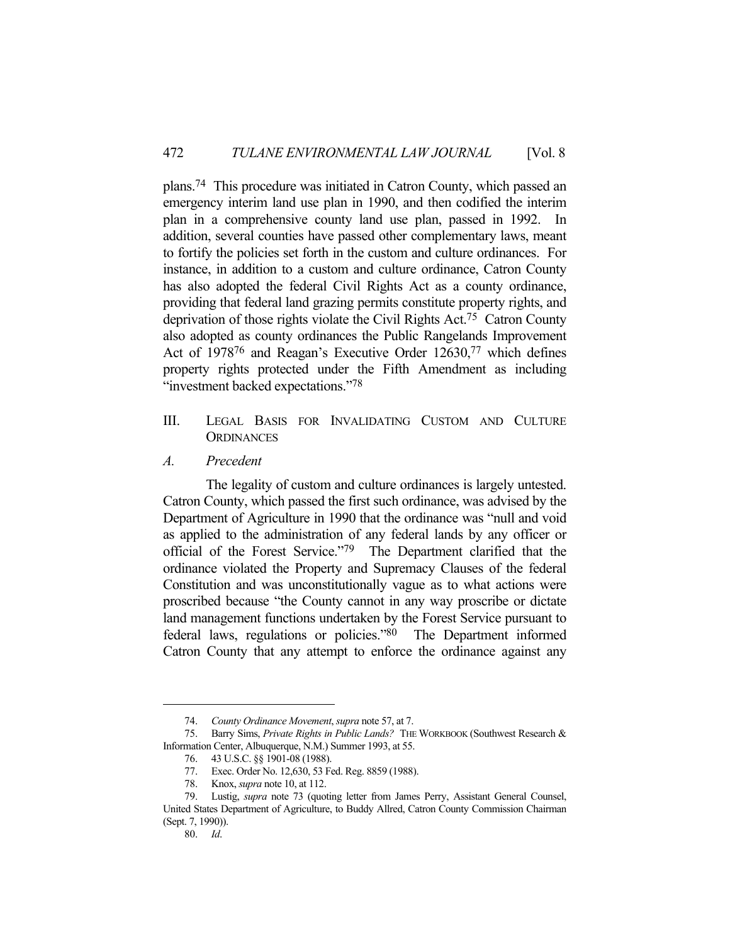plans.74 This procedure was initiated in Catron County, which passed an emergency interim land use plan in 1990, and then codified the interim plan in a comprehensive county land use plan, passed in 1992. In addition, several counties have passed other complementary laws, meant to fortify the policies set forth in the custom and culture ordinances. For instance, in addition to a custom and culture ordinance, Catron County has also adopted the federal Civil Rights Act as a county ordinance, providing that federal land grazing permits constitute property rights, and deprivation of those rights violate the Civil Rights Act.75 Catron County also adopted as county ordinances the Public Rangelands Improvement Act of 197876 and Reagan's Executive Order 12630,77 which defines property rights protected under the Fifth Amendment as including "investment backed expectations."78

- III. LEGAL BASIS FOR INVALIDATING CUSTOM AND CULTURE **ORDINANCES**
- *A. Precedent*

 The legality of custom and culture ordinances is largely untested. Catron County, which passed the first such ordinance, was advised by the Department of Agriculture in 1990 that the ordinance was "null and void as applied to the administration of any federal lands by any officer or official of the Forest Service."79 The Department clarified that the ordinance violated the Property and Supremacy Clauses of the federal Constitution and was unconstitutionally vague as to what actions were proscribed because "the County cannot in any way proscribe or dictate land management functions undertaken by the Forest Service pursuant to federal laws, regulations or policies."80 The Department informed Catron County that any attempt to enforce the ordinance against any

<sup>74.</sup> *County Ordinance Movement*, *supra* note 57, at 7.

 <sup>75.</sup> Barry Sims, *Private Rights in Public Lands?* THE WORKBOOK (Southwest Research & Information Center, Albuquerque, N.M.) Summer 1993, at 55.

 <sup>76. 43</sup> U.S.C. §§ 1901-08 (1988).

 <sup>77.</sup> Exec. Order No. 12,630, 53 Fed. Reg. 8859 (1988).

 <sup>78.</sup> Knox, *supra* note 10, at 112.

 <sup>79.</sup> Lustig, *supra* note 73 (quoting letter from James Perry, Assistant General Counsel, United States Department of Agriculture, to Buddy Allred, Catron County Commission Chairman (Sept. 7, 1990)).

<sup>80.</sup> *Id*.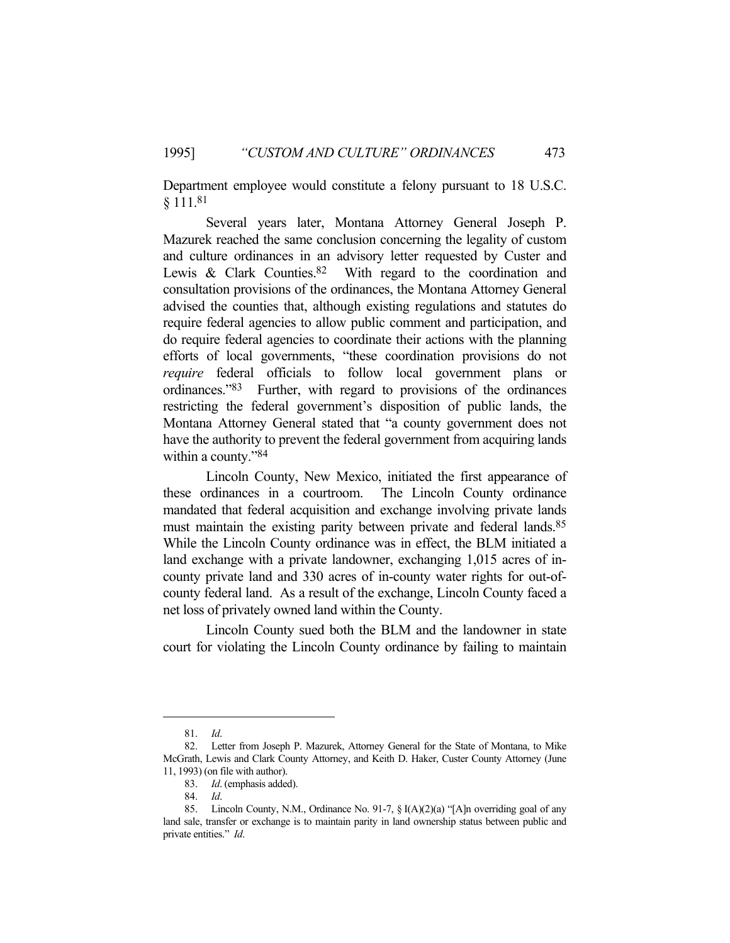Department employee would constitute a felony pursuant to 18 U.S.C. § 111.81

 Several years later, Montana Attorney General Joseph P. Mazurek reached the same conclusion concerning the legality of custom and culture ordinances in an advisory letter requested by Custer and Lewis & Clark Counties.<sup>82</sup> With regard to the coordination and consultation provisions of the ordinances, the Montana Attorney General advised the counties that, although existing regulations and statutes do require federal agencies to allow public comment and participation, and do require federal agencies to coordinate their actions with the planning efforts of local governments, "these coordination provisions do not *require* federal officials to follow local government plans or ordinances."83 Further, with regard to provisions of the ordinances restricting the federal government's disposition of public lands, the Montana Attorney General stated that "a county government does not have the authority to prevent the federal government from acquiring lands within a county."84

 Lincoln County, New Mexico, initiated the first appearance of these ordinances in a courtroom. The Lincoln County ordinance mandated that federal acquisition and exchange involving private lands must maintain the existing parity between private and federal lands.<sup>85</sup> While the Lincoln County ordinance was in effect, the BLM initiated a land exchange with a private landowner, exchanging 1,015 acres of incounty private land and 330 acres of in-county water rights for out-ofcounty federal land. As a result of the exchange, Lincoln County faced a net loss of privately owned land within the County.

 Lincoln County sued both the BLM and the landowner in state court for violating the Lincoln County ordinance by failing to maintain

<sup>81.</sup> *Id*.

 <sup>82.</sup> Letter from Joseph P. Mazurek, Attorney General for the State of Montana, to Mike McGrath, Lewis and Clark County Attorney, and Keith D. Haker, Custer County Attorney (June 11, 1993) (on file with author).

<sup>83.</sup> *Id*. (emphasis added).

<sup>84.</sup> *Id*.

 <sup>85.</sup> Lincoln County, N.M., Ordinance No. 91-7, § I(A)(2)(a) "[A]n overriding goal of any land sale, transfer or exchange is to maintain parity in land ownership status between public and private entities." *Id*.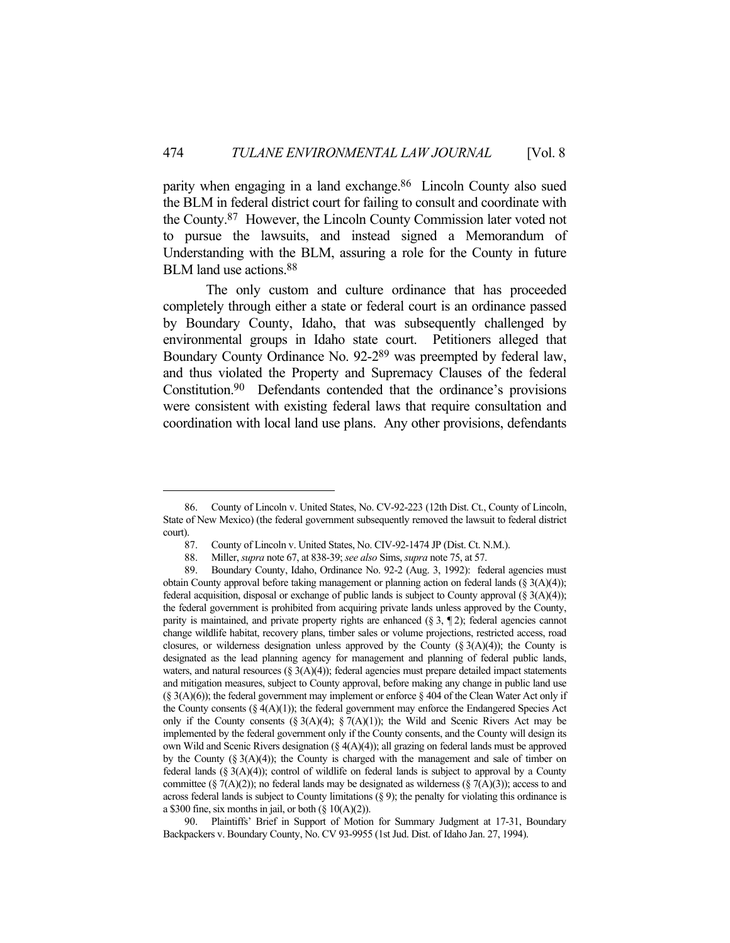parity when engaging in a land exchange.<sup>86</sup> Lincoln County also sued the BLM in federal district court for failing to consult and coordinate with the County.87 However, the Lincoln County Commission later voted not to pursue the lawsuits, and instead signed a Memorandum of Understanding with the BLM, assuring a role for the County in future BLM land use actions.88

 The only custom and culture ordinance that has proceeded completely through either a state or federal court is an ordinance passed by Boundary County, Idaho, that was subsequently challenged by environmental groups in Idaho state court. Petitioners alleged that Boundary County Ordinance No. 92-289 was preempted by federal law, and thus violated the Property and Supremacy Clauses of the federal Constitution.90 Defendants contended that the ordinance's provisions were consistent with existing federal laws that require consultation and coordination with local land use plans. Any other provisions, defendants

 <sup>86.</sup> County of Lincoln v. United States, No. CV-92-223 (12th Dist. Ct., County of Lincoln, State of New Mexico) (the federal government subsequently removed the lawsuit to federal district court).

 <sup>87.</sup> County of Lincoln v. United States, No. CIV-92-1474 JP (Dist. Ct. N.M.).

 <sup>88.</sup> Miller, *supra* note 67, at 838-39; *see also* Sims, *supra* note 75, at 57.

 <sup>89.</sup> Boundary County, Idaho, Ordinance No. 92-2 (Aug. 3, 1992): federal agencies must obtain County approval before taking management or planning action on federal lands (§ 3(A)(4)); federal acquisition, disposal or exchange of public lands is subject to County approval  $(\S 3(A)(4))$ ; the federal government is prohibited from acquiring private lands unless approved by the County, parity is maintained, and private property rights are enhanced ( $\S 3$ ,  $\P 2$ ); federal agencies cannot change wildlife habitat, recovery plans, timber sales or volume projections, restricted access, road closures, or wilderness designation unless approved by the County  $(\S 3(A)(4))$ ; the County is designated as the lead planning agency for management and planning of federal public lands, waters, and natural resources  $(\S 3(A)(4))$ ; federal agencies must prepare detailed impact statements and mitigation measures, subject to County approval, before making any change in public land use  $(\S$  3(A)(6)); the federal government may implement or enforce  $\S$  404 of the Clean Water Act only if the County consents (§ 4(A)(1)); the federal government may enforce the Endangered Species Act only if the County consents  $(\S$  3(A)(4);  $\S$  7(A)(1)); the Wild and Scenic Rivers Act may be implemented by the federal government only if the County consents, and the County will design its own Wild and Scenic Rivers designation (§ 4(A)(4)); all grazing on federal lands must be approved by the County  $(\S 3(A)(4))$ ; the County is charged with the management and sale of timber on federal lands  $(\S 3(A)(4))$ ; control of wildlife on federal lands is subject to approval by a County committee (§ 7(A)(2)); no federal lands may be designated as wilderness (§ 7(A)(3)); access to and across federal lands is subject to County limitations (§ 9); the penalty for violating this ordinance is a \$300 fine, six months in jail, or both  $(\S 10(A)(2))$ .

 <sup>90.</sup> Plaintiffs' Brief in Support of Motion for Summary Judgment at 17-31, Boundary Backpackers v. Boundary County, No. CV 93-9955 (1st Jud. Dist. of Idaho Jan. 27, 1994).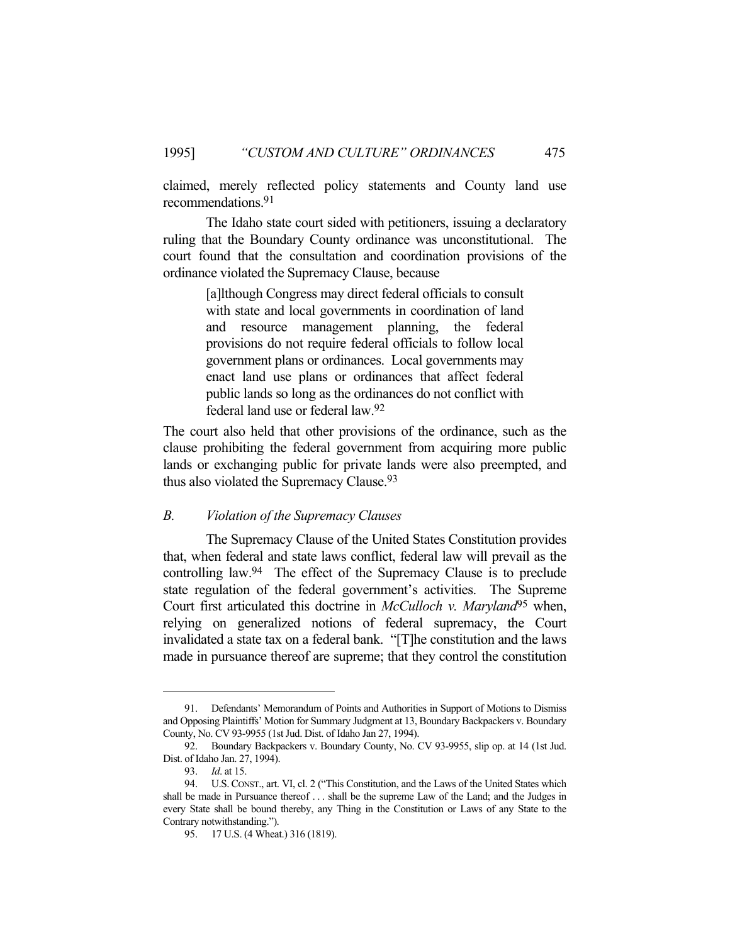claimed, merely reflected policy statements and County land use recommendations.91

 The Idaho state court sided with petitioners, issuing a declaratory ruling that the Boundary County ordinance was unconstitutional. The court found that the consultation and coordination provisions of the ordinance violated the Supremacy Clause, because

> [a]lthough Congress may direct federal officials to consult with state and local governments in coordination of land and resource management planning, the federal provisions do not require federal officials to follow local government plans or ordinances. Local governments may enact land use plans or ordinances that affect federal public lands so long as the ordinances do not conflict with federal land use or federal law.92

The court also held that other provisions of the ordinance, such as the clause prohibiting the federal government from acquiring more public lands or exchanging public for private lands were also preempted, and thus also violated the Supremacy Clause.<sup>93</sup>

#### *B. Violation of the Supremacy Clauses*

 The Supremacy Clause of the United States Constitution provides that, when federal and state laws conflict, federal law will prevail as the controlling law.94 The effect of the Supremacy Clause is to preclude state regulation of the federal government's activities. The Supreme Court first articulated this doctrine in *McCulloch v. Maryland*95 when, relying on generalized notions of federal supremacy, the Court invalidated a state tax on a federal bank. "[T]he constitution and the laws made in pursuance thereof are supreme; that they control the constitution

 <sup>91.</sup> Defendants' Memorandum of Points and Authorities in Support of Motions to Dismiss and Opposing Plaintiffs' Motion for Summary Judgment at 13, Boundary Backpackers v. Boundary County, No. CV 93-9955 (1st Jud. Dist. of Idaho Jan 27, 1994).

 <sup>92.</sup> Boundary Backpackers v. Boundary County, No. CV 93-9955, slip op. at 14 (1st Jud. Dist. of Idaho Jan. 27, 1994).

<sup>93.</sup> *Id*. at 15.

 <sup>94.</sup> U.S. CONST., art. VI, cl. 2 ("This Constitution, and the Laws of the United States which shall be made in Pursuance thereof . . . shall be the supreme Law of the Land; and the Judges in every State shall be bound thereby, any Thing in the Constitution or Laws of any State to the Contrary notwithstanding.").

 <sup>95. 17</sup> U.S. (4 Wheat.) 316 (1819).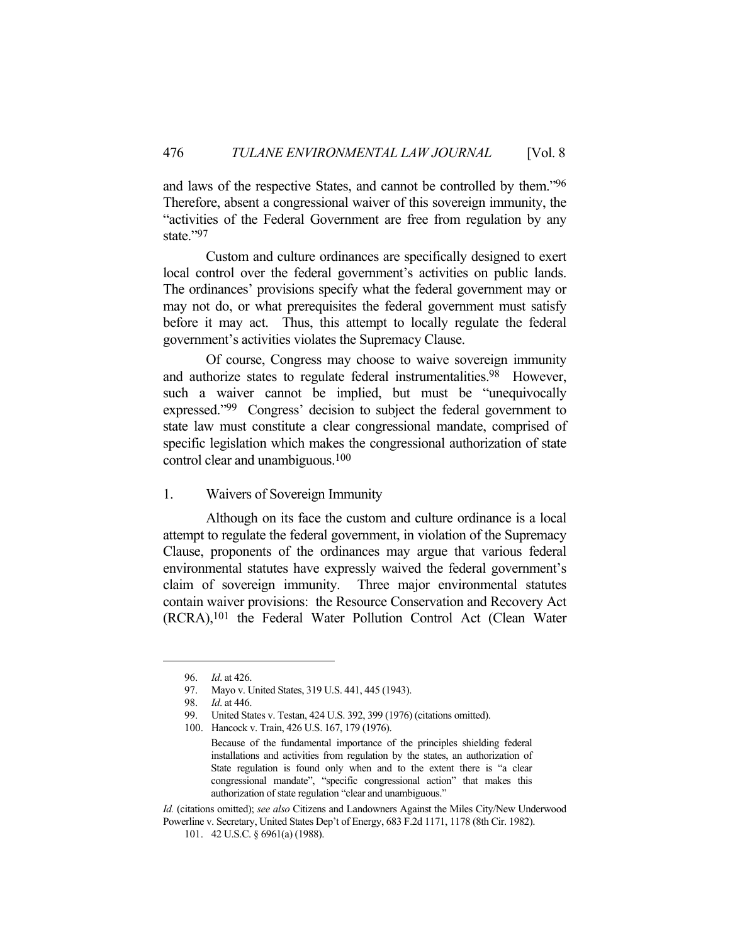and laws of the respective States, and cannot be controlled by them."96 Therefore, absent a congressional waiver of this sovereign immunity, the "activities of the Federal Government are free from regulation by any state."97

 Custom and culture ordinances are specifically designed to exert local control over the federal government's activities on public lands. The ordinances' provisions specify what the federal government may or may not do, or what prerequisites the federal government must satisfy before it may act. Thus, this attempt to locally regulate the federal government's activities violates the Supremacy Clause.

 Of course, Congress may choose to waive sovereign immunity and authorize states to regulate federal instrumentalities.<sup>98</sup> However, such a waiver cannot be implied, but must be "unequivocally expressed."99 Congress' decision to subject the federal government to state law must constitute a clear congressional mandate, comprised of specific legislation which makes the congressional authorization of state control clear and unambiguous.100

1. Waivers of Sovereign Immunity

 Although on its face the custom and culture ordinance is a local attempt to regulate the federal government, in violation of the Supremacy Clause, proponents of the ordinances may argue that various federal environmental statutes have expressly waived the federal government's claim of sovereign immunity. Three major environmental statutes contain waiver provisions: the Resource Conservation and Recovery Act (RCRA),101 the Federal Water Pollution Control Act (Clean Water

*Id.* (citations omitted); *see also* Citizens and Landowners Against the Miles City/New Underwood Powerline v. Secretary, United States Dep't of Energy, 683 F.2d 1171, 1178 (8th Cir. 1982).

 <sup>96.</sup> *Id*. at 426.

 <sup>97.</sup> Mayo v. United States, 319 U.S. 441, 445 (1943).

<sup>98.</sup> *Id*. at 446.

 <sup>99.</sup> United States v. Testan, 424 U.S. 392, 399 (1976) (citations omitted).

 <sup>100.</sup> Hancock v. Train, 426 U.S. 167, 179 (1976).

Because of the fundamental importance of the principles shielding federal installations and activities from regulation by the states, an authorization of State regulation is found only when and to the extent there is "a clear congressional mandate", "specific congressional action" that makes this authorization of state regulation "clear and unambiguous."

 <sup>101. 42</sup> U.S.C. § 6961(a) (1988).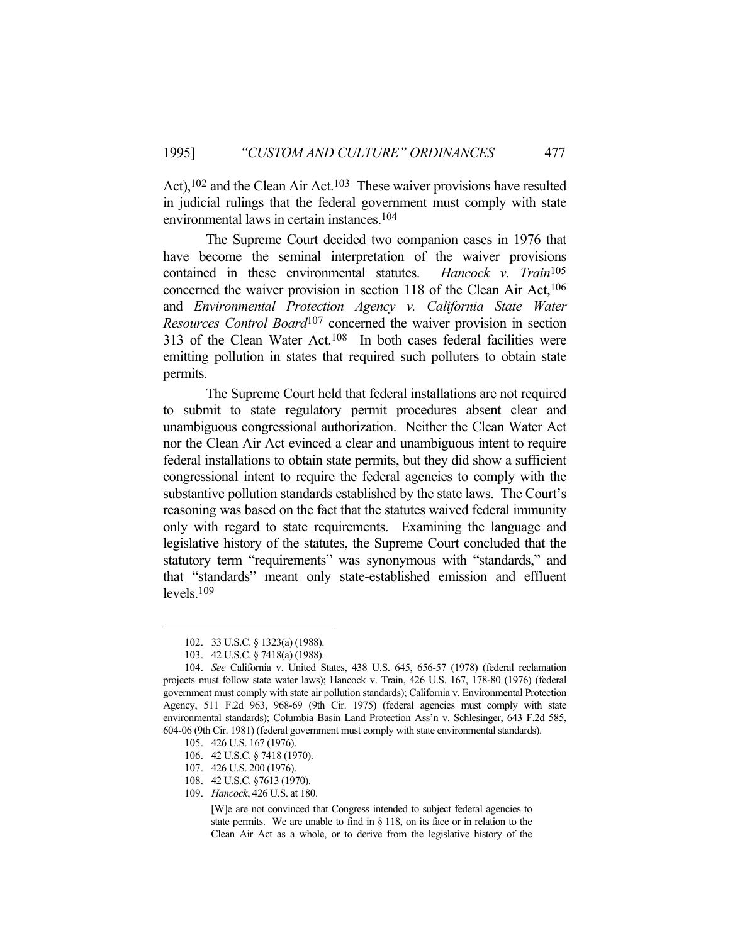Act),<sup>102</sup> and the Clean Air Act.<sup>103</sup> These waiver provisions have resulted in judicial rulings that the federal government must comply with state environmental laws in certain instances.104

 The Supreme Court decided two companion cases in 1976 that have become the seminal interpretation of the waiver provisions contained in these environmental statutes. *Hancock v. Train*105 concerned the waiver provision in section 118 of the Clean Air Act,<sup>106</sup> and *Environmental Protection Agency v. California State Water Resources Control Board*107 concerned the waiver provision in section 313 of the Clean Water Act.108 In both cases federal facilities were emitting pollution in states that required such polluters to obtain state permits.

 The Supreme Court held that federal installations are not required to submit to state regulatory permit procedures absent clear and unambiguous congressional authorization. Neither the Clean Water Act nor the Clean Air Act evinced a clear and unambiguous intent to require federal installations to obtain state permits, but they did show a sufficient congressional intent to require the federal agencies to comply with the substantive pollution standards established by the state laws. The Court's reasoning was based on the fact that the statutes waived federal immunity only with regard to state requirements. Examining the language and legislative history of the statutes, the Supreme Court concluded that the statutory term "requirements" was synonymous with "standards," and that "standards" meant only state-established emission and effluent levels.109

[W]e are not convinced that Congress intended to subject federal agencies to state permits. We are unable to find in § 118, on its face or in relation to the Clean Air Act as a whole, or to derive from the legislative history of the

 <sup>102. 33</sup> U.S.C. § 1323(a) (1988).

 <sup>103. 42</sup> U.S.C. § 7418(a) (1988).

<sup>104.</sup> *See* California v. United States, 438 U.S. 645, 656-57 (1978) (federal reclamation projects must follow state water laws); Hancock v. Train, 426 U.S. 167, 178-80 (1976) (federal government must comply with state air pollution standards); California v. Environmental Protection Agency, 511 F.2d 963, 968-69 (9th Cir. 1975) (federal agencies must comply with state environmental standards); Columbia Basin Land Protection Ass'n v. Schlesinger, 643 F.2d 585, 604-06 (9th Cir. 1981) (federal government must comply with state environmental standards).

 <sup>105. 426</sup> U.S. 167 (1976).

 <sup>106. 42</sup> U.S.C. § 7418 (1970).

 <sup>107. 426</sup> U.S. 200 (1976).

 <sup>108. 42</sup> U.S.C. §7613 (1970).

 <sup>109.</sup> *Hancock*, 426 U.S. at 180.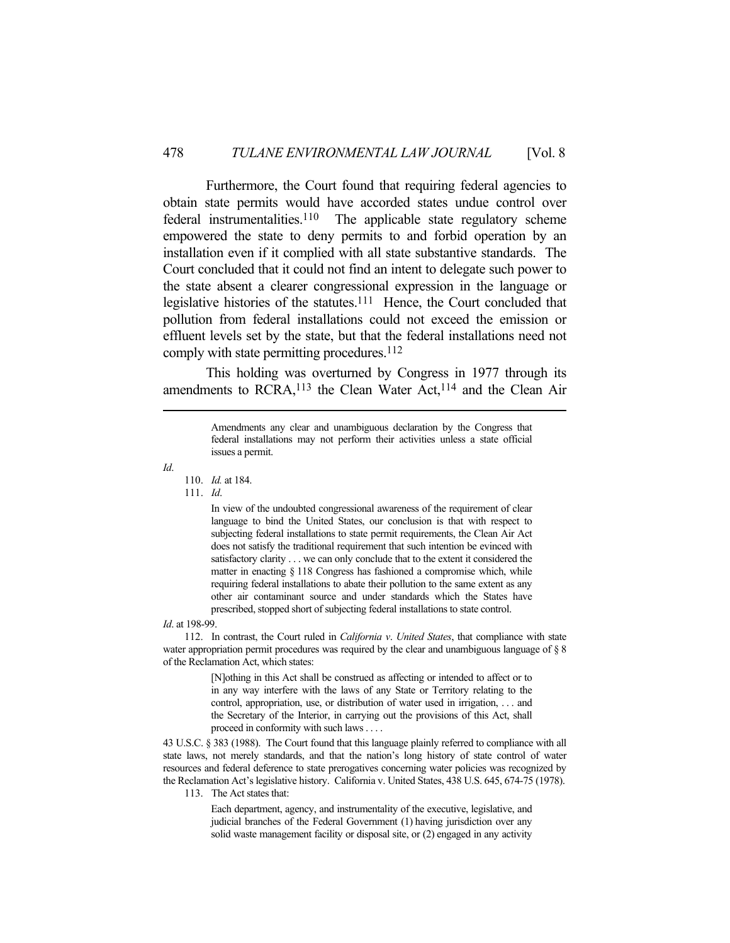Furthermore, the Court found that requiring federal agencies to obtain state permits would have accorded states undue control over federal instrumentalities.<sup>110</sup> The applicable state regulatory scheme empowered the state to deny permits to and forbid operation by an installation even if it complied with all state substantive standards. The Court concluded that it could not find an intent to delegate such power to the state absent a clearer congressional expression in the language or legislative histories of the statutes.111 Hence, the Court concluded that pollution from federal installations could not exceed the emission or effluent levels set by the state, but that the federal installations need not comply with state permitting procedures.<sup>112</sup>

 This holding was overturned by Congress in 1977 through its amendments to RCRA,<sup>113</sup> the Clean Water Act,<sup>114</sup> and the Clean Air

*Id*.

111. *Id*.

In view of the undoubted congressional awareness of the requirement of clear language to bind the United States, our conclusion is that with respect to subjecting federal installations to state permit requirements, the Clean Air Act does not satisfy the traditional requirement that such intention be evinced with satisfactory clarity . . . we can only conclude that to the extent it considered the matter in enacting § 118 Congress has fashioned a compromise which, while requiring federal installations to abate their pollution to the same extent as any other air contaminant source and under standards which the States have prescribed, stopped short of subjecting federal installations to state control.

*Id*. at 198-99.

 112. In contrast, the Court ruled in *California v*. *United States*, that compliance with state water appropriation permit procedures was required by the clear and unambiguous language of § 8 of the Reclamation Act, which states:

> [N]othing in this Act shall be construed as affecting or intended to affect or to in any way interfere with the laws of any State or Territory relating to the control, appropriation, use, or distribution of water used in irrigation, . . . and the Secretary of the Interior, in carrying out the provisions of this Act, shall proceed in conformity with such laws . . . .

43 U.S.C. § 383 (1988). The Court found that this language plainly referred to compliance with all state laws, not merely standards, and that the nation's long history of state control of water resources and federal deference to state prerogatives concerning water policies was recognized by the Reclamation Act's legislative history. California v. United States, 438 U.S. 645, 674-75 (1978).

113. The Act states that:

Each department, agency, and instrumentality of the executive, legislative, and judicial branches of the Federal Government (1) having jurisdiction over any solid waste management facility or disposal site, or (2) engaged in any activity

Amendments any clear and unambiguous declaration by the Congress that federal installations may not perform their activities unless a state official issues a permit.

 <sup>110.</sup> *Id.* at 184.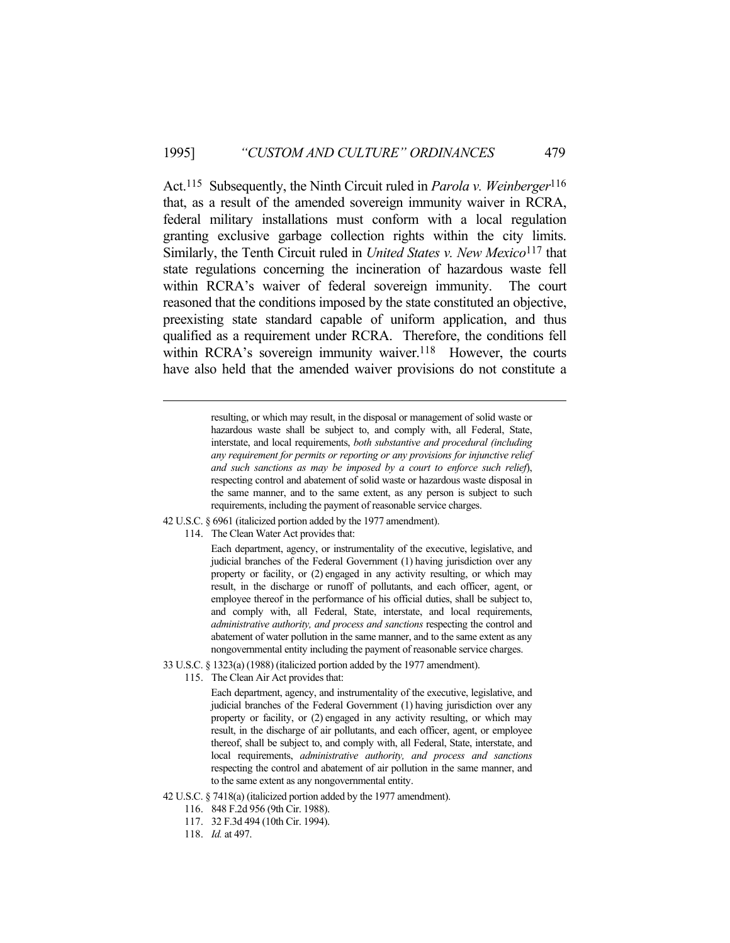Act.115 Subsequently, the Ninth Circuit ruled in *Parola v. Weinberger*116 that, as a result of the amended sovereign immunity waiver in RCRA, federal military installations must conform with a local regulation granting exclusive garbage collection rights within the city limits. Similarly, the Tenth Circuit ruled in *United States v. New Mexico*117 that state regulations concerning the incineration of hazardous waste fell within RCRA's waiver of federal sovereign immunity. The court reasoned that the conditions imposed by the state constituted an objective, preexisting state standard capable of uniform application, and thus qualified as a requirement under RCRA. Therefore, the conditions fell within RCRA's sovereign immunity waiver.<sup>118</sup> However, the courts have also held that the amended waiver provisions do not constitute a

> resulting, or which may result, in the disposal or management of solid waste or hazardous waste shall be subject to, and comply with, all Federal, State, interstate, and local requirements, *both substantive and procedural (including any requirement for permits or reporting or any provisions for injunctive relief and such sanctions as may be imposed by a court to enforce such relief*), respecting control and abatement of solid waste or hazardous waste disposal in the same manner, and to the same extent, as any person is subject to such requirements, including the payment of reasonable service charges.

- 42 U.S.C. § 6961 (italicized portion added by the 1977 amendment).
	- 114. The Clean Water Act provides that:

Each department, agency, or instrumentality of the executive, legislative, and judicial branches of the Federal Government (1) having jurisdiction over any property or facility, or (2) engaged in any activity resulting, or which may result, in the discharge or runoff of pollutants, and each officer, agent, or employee thereof in the performance of his official duties, shall be subject to, and comply with, all Federal, State, interstate, and local requirements, *administrative authority, and process and sanctions* respecting the control and abatement of water pollution in the same manner, and to the same extent as any nongovernmental entity including the payment of reasonable service charges.

- 33 U.S.C. § 1323(a) (1988) (italicized portion added by the 1977 amendment).
	- 115. The Clean Air Act provides that:

Each department, agency, and instrumentality of the executive, legislative, and judicial branches of the Federal Government (1) having jurisdiction over any property or facility, or (2) engaged in any activity resulting, or which may result, in the discharge of air pollutants, and each officer, agent, or employee thereof, shall be subject to, and comply with, all Federal, State, interstate, and local requirements, *administrative authority, and process and sanctions* respecting the control and abatement of air pollution in the same manner, and to the same extent as any nongovernmental entity.

- 42 U.S.C. § 7418(a) (italicized portion added by the 1977 amendment).
	- 116. 848 F.2d 956 (9th Cir. 1988).
	- 117. 32 F.3d 494 (10th Cir. 1994).
	- 118. *Id.* at 497.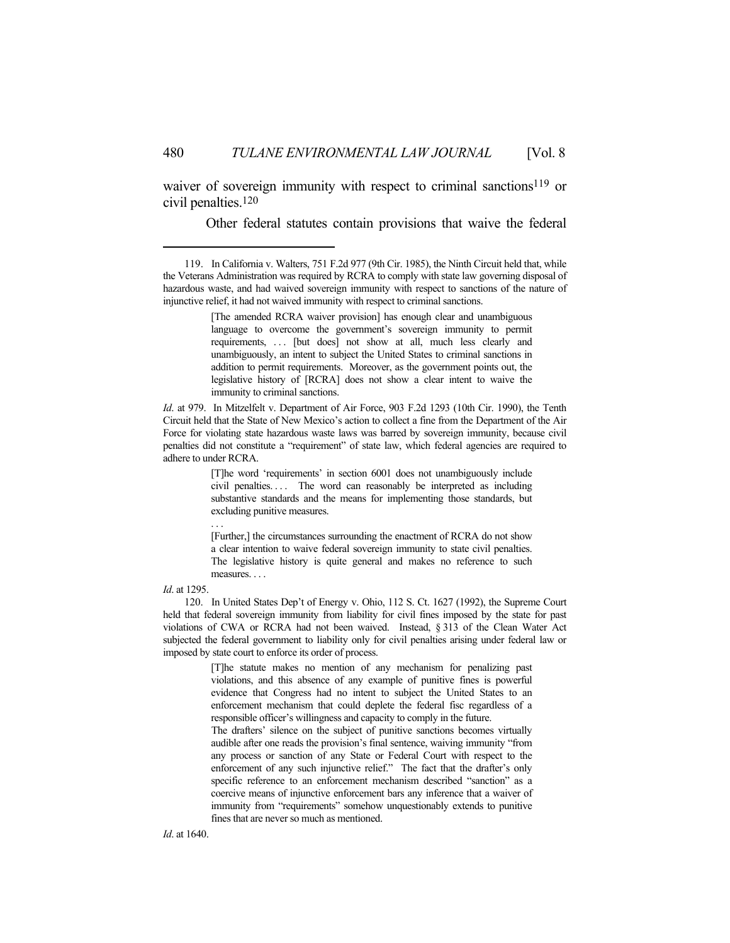waiver of sovereign immunity with respect to criminal sanctions<sup>119</sup> or civil penalties.120

Other federal statutes contain provisions that waive the federal

*Id*. at 979. In Mitzelfelt v. Department of Air Force, 903 F.2d 1293 (10th Cir. 1990), the Tenth Circuit held that the State of New Mexico's action to collect a fine from the Department of the Air Force for violating state hazardous waste laws was barred by sovereign immunity, because civil penalties did not constitute a "requirement" of state law, which federal agencies are required to adhere to under RCRA.

> [T]he word 'requirements' in section 6001 does not unambiguously include civil penalties.... The word can reasonably be interpreted as including substantive standards and the means for implementing those standards, but excluding punitive measures.

> [Further,] the circumstances surrounding the enactment of RCRA do not show a clear intention to waive federal sovereign immunity to state civil penalties. The legislative history is quite general and makes no reference to such measures. . . .

*Id*. at 1295.

. . .

 120. In United States Dep't of Energy v. Ohio, 112 S. Ct. 1627 (1992), the Supreme Court held that federal sovereign immunity from liability for civil fines imposed by the state for past violations of CWA or RCRA had not been waived. Instead, § 313 of the Clean Water Act subjected the federal government to liability only for civil penalties arising under federal law or imposed by state court to enforce its order of process.

> [T]he statute makes no mention of any mechanism for penalizing past violations, and this absence of any example of punitive fines is powerful evidence that Congress had no intent to subject the United States to an enforcement mechanism that could deplete the federal fisc regardless of a responsible officer's willingness and capacity to comply in the future.

> The drafters' silence on the subject of punitive sanctions becomes virtually audible after one reads the provision's final sentence, waiving immunity "from any process or sanction of any State or Federal Court with respect to the enforcement of any such injunctive relief." The fact that the drafter's only specific reference to an enforcement mechanism described "sanction" as a coercive means of injunctive enforcement bars any inference that a waiver of immunity from "requirements" somehow unquestionably extends to punitive fines that are never so much as mentioned.

 <sup>119.</sup> In California v. Walters, 751 F.2d 977 (9th Cir. 1985), the Ninth Circuit held that, while the Veterans Administration was required by RCRA to comply with state law governing disposal of hazardous waste, and had waived sovereign immunity with respect to sanctions of the nature of injunctive relief, it had not waived immunity with respect to criminal sanctions.

<sup>[</sup>The amended RCRA waiver provision] has enough clear and unambiguous language to overcome the government's sovereign immunity to permit requirements, ... [but does] not show at all, much less clearly and unambiguously, an intent to subject the United States to criminal sanctions in addition to permit requirements. Moreover, as the government points out, the legislative history of [RCRA] does not show a clear intent to waive the immunity to criminal sanctions.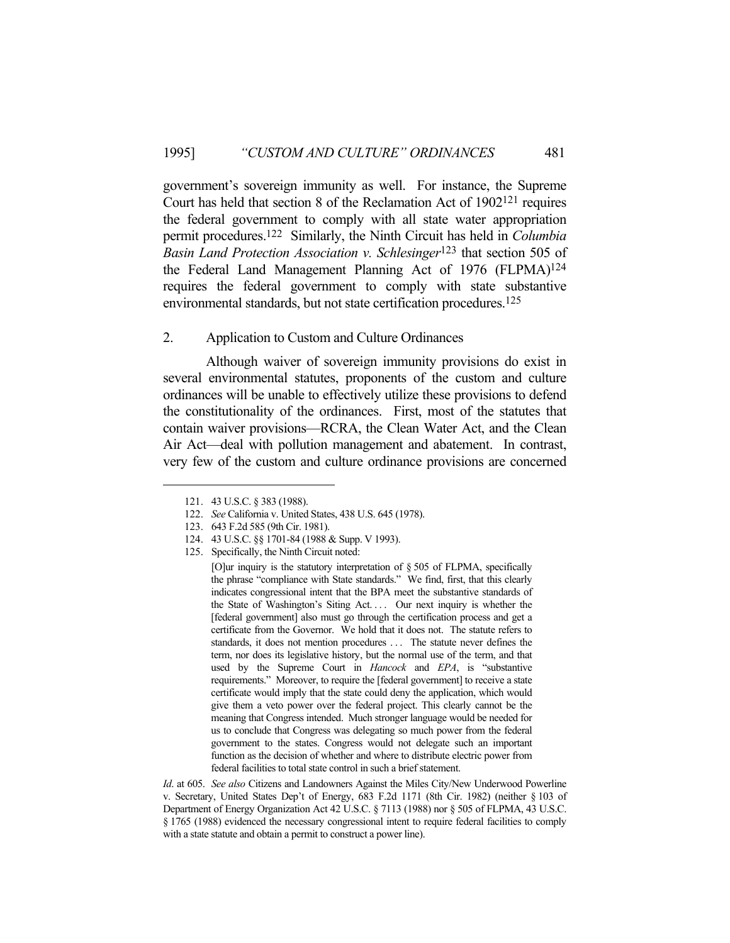government's sovereign immunity as well. For instance, the Supreme Court has held that section 8 of the Reclamation Act of 1902121 requires the federal government to comply with all state water appropriation permit procedures.122 Similarly, the Ninth Circuit has held in *Columbia Basin Land Protection Association v. Schlesinger*123 that section 505 of the Federal Land Management Planning Act of 1976 (FLPMA)124 requires the federal government to comply with state substantive environmental standards, but not state certification procedures. 125

### 2. Application to Custom and Culture Ordinances

 Although waiver of sovereign immunity provisions do exist in several environmental statutes, proponents of the custom and culture ordinances will be unable to effectively utilize these provisions to defend the constitutionality of the ordinances. First, most of the statutes that contain waiver provisions—RCRA, the Clean Water Act, and the Clean Air Act—deal with pollution management and abatement. In contrast, very few of the custom and culture ordinance provisions are concerned

123. 643 F.2d 585 (9th Cir. 1981).

 <sup>121. 43</sup> U.S.C. § 383 (1988).

<sup>122.</sup> *See* California v. United States, 438 U.S. 645 (1978).

 <sup>124. 43</sup> U.S.C. §§ 1701-84 (1988 & Supp. V 1993).

 <sup>125.</sup> Specifically, the Ninth Circuit noted:

 <sup>[</sup>O]ur inquiry is the statutory interpretation of § 505 of FLPMA, specifically the phrase "compliance with State standards." We find, first, that this clearly indicates congressional intent that the BPA meet the substantive standards of the State of Washington's Siting Act.... Our next inquiry is whether the [federal government] also must go through the certification process and get a certificate from the Governor. We hold that it does not. The statute refers to standards, it does not mention procedures . . . The statute never defines the term, nor does its legislative history, but the normal use of the term, and that used by the Supreme Court in *Hancock* and *EPA*, is "substantive requirements." Moreover, to require the [federal government] to receive a state certificate would imply that the state could deny the application, which would give them a veto power over the federal project. This clearly cannot be the meaning that Congress intended. Much stronger language would be needed for us to conclude that Congress was delegating so much power from the federal government to the states. Congress would not delegate such an important function as the decision of whether and where to distribute electric power from federal facilities to total state control in such a brief statement.

*Id*. at 605. *See also* Citizens and Landowners Against the Miles City/New Underwood Powerline v. Secretary, United States Dep't of Energy, 683 F.2d 1171 (8th Cir. 1982) (neither § 103 of Department of Energy Organization Act 42 U.S.C. § 7113 (1988) nor § 505 of FLPMA, 43 U.S.C. § 1765 (1988) evidenced the necessary congressional intent to require federal facilities to comply with a state statute and obtain a permit to construct a power line).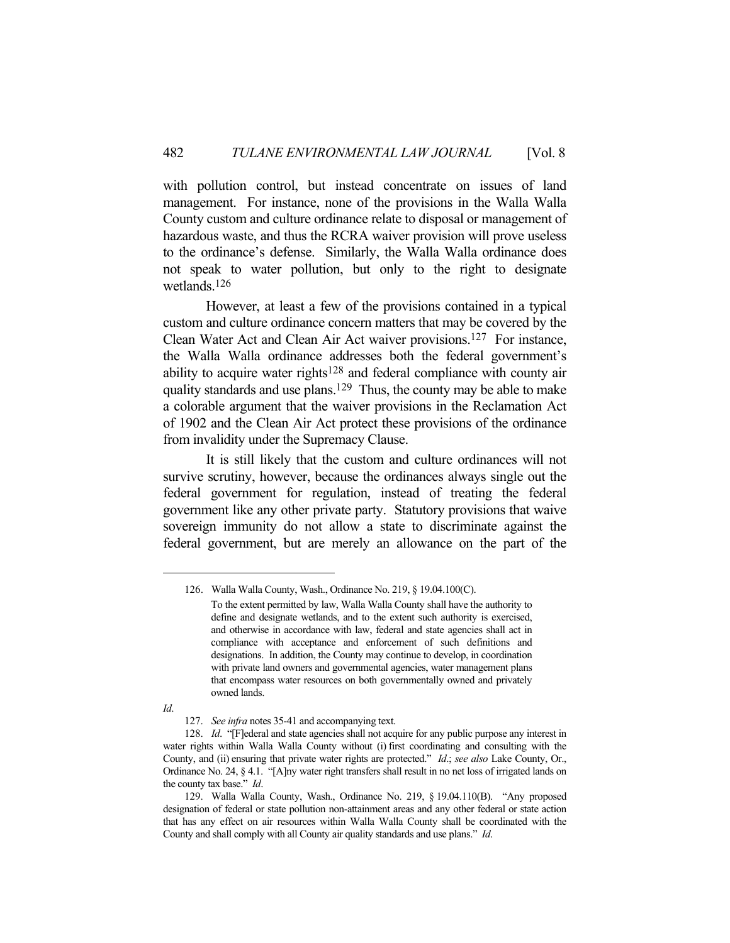with pollution control, but instead concentrate on issues of land management. For instance, none of the provisions in the Walla Walla County custom and culture ordinance relate to disposal or management of hazardous waste, and thus the RCRA waiver provision will prove useless to the ordinance's defense. Similarly, the Walla Walla ordinance does not speak to water pollution, but only to the right to designate wetlands.126

 However, at least a few of the provisions contained in a typical custom and culture ordinance concern matters that may be covered by the Clean Water Act and Clean Air Act waiver provisions.127 For instance, the Walla Walla ordinance addresses both the federal government's ability to acquire water rights<sup>128</sup> and federal compliance with county air quality standards and use plans.129 Thus, the county may be able to make a colorable argument that the waiver provisions in the Reclamation Act of 1902 and the Clean Air Act protect these provisions of the ordinance from invalidity under the Supremacy Clause.

 It is still likely that the custom and culture ordinances will not survive scrutiny, however, because the ordinances always single out the federal government for regulation, instead of treating the federal government like any other private party. Statutory provisions that waive sovereign immunity do not allow a state to discriminate against the federal government, but are merely an allowance on the part of the

*Id*.

 <sup>126.</sup> Walla Walla County, Wash., Ordinance No. 219, § 19.04.100(C). To the extent permitted by law, Walla Walla County shall have the authority to define and designate wetlands, and to the extent such authority is exercised, and otherwise in accordance with law, federal and state agencies shall act in compliance with acceptance and enforcement of such definitions and designations. In addition, the County may continue to develop, in coordination with private land owners and governmental agencies, water management plans that encompass water resources on both governmentally owned and privately owned lands.

 <sup>127.</sup> *See infra* notes 35-41 and accompanying text.

 <sup>128.</sup> *Id*. "[F]ederal and state agencies shall not acquire for any public purpose any interest in water rights within Walla Walla County without (i) first coordinating and consulting with the County, and (ii) ensuring that private water rights are protected." *Id*.; *see also* Lake County, Or., Ordinance No. 24, § 4.1. "[A]ny water right transfers shall result in no net loss of irrigated lands on the county tax base." *Id*.

 <sup>129.</sup> Walla Walla County, Wash., Ordinance No. 219, § 19.04.110(B). "Any proposed designation of federal or state pollution non-attainment areas and any other federal or state action that has any effect on air resources within Walla Walla County shall be coordinated with the County and shall comply with all County air quality standards and use plans." *Id*.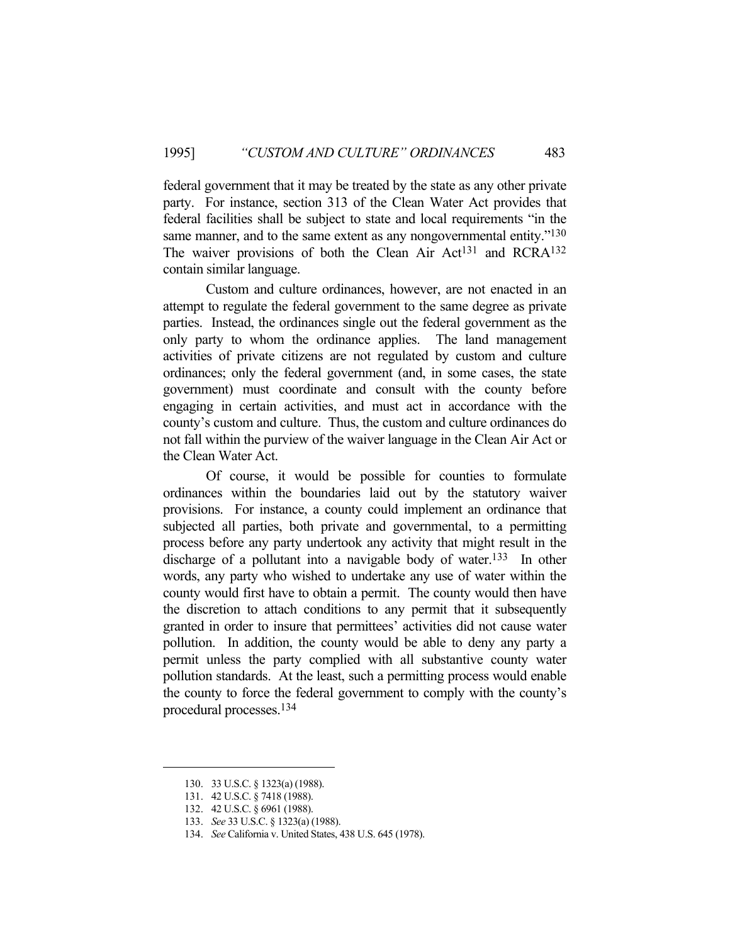federal government that it may be treated by the state as any other private party. For instance, section 313 of the Clean Water Act provides that federal facilities shall be subject to state and local requirements "in the same manner, and to the same extent as any nongovernmental entity."<sup>130</sup> The waiver provisions of both the Clean Air Act<sup>131</sup> and RCRA<sup>132</sup> contain similar language.

 Custom and culture ordinances, however, are not enacted in an attempt to regulate the federal government to the same degree as private parties. Instead, the ordinances single out the federal government as the only party to whom the ordinance applies. The land management activities of private citizens are not regulated by custom and culture ordinances; only the federal government (and, in some cases, the state government) must coordinate and consult with the county before engaging in certain activities, and must act in accordance with the county's custom and culture. Thus, the custom and culture ordinances do not fall within the purview of the waiver language in the Clean Air Act or the Clean Water Act.

 Of course, it would be possible for counties to formulate ordinances within the boundaries laid out by the statutory waiver provisions. For instance, a county could implement an ordinance that subjected all parties, both private and governmental, to a permitting process before any party undertook any activity that might result in the discharge of a pollutant into a navigable body of water.<sup>133</sup> In other words, any party who wished to undertake any use of water within the county would first have to obtain a permit. The county would then have the discretion to attach conditions to any permit that it subsequently granted in order to insure that permittees' activities did not cause water pollution. In addition, the county would be able to deny any party a permit unless the party complied with all substantive county water pollution standards. At the least, such a permitting process would enable the county to force the federal government to comply with the county's procedural processes.134

 <sup>130. 33</sup> U.S.C. § 1323(a) (1988).

 <sup>131. 42</sup> U.S.C. § 7418 (1988).

 <sup>132. 42</sup> U.S.C. § 6961 (1988).

<sup>133.</sup> *See* 33 U.S.C. § 1323(a) (1988).

<sup>134.</sup> *See* California v. United States, 438 U.S. 645 (1978).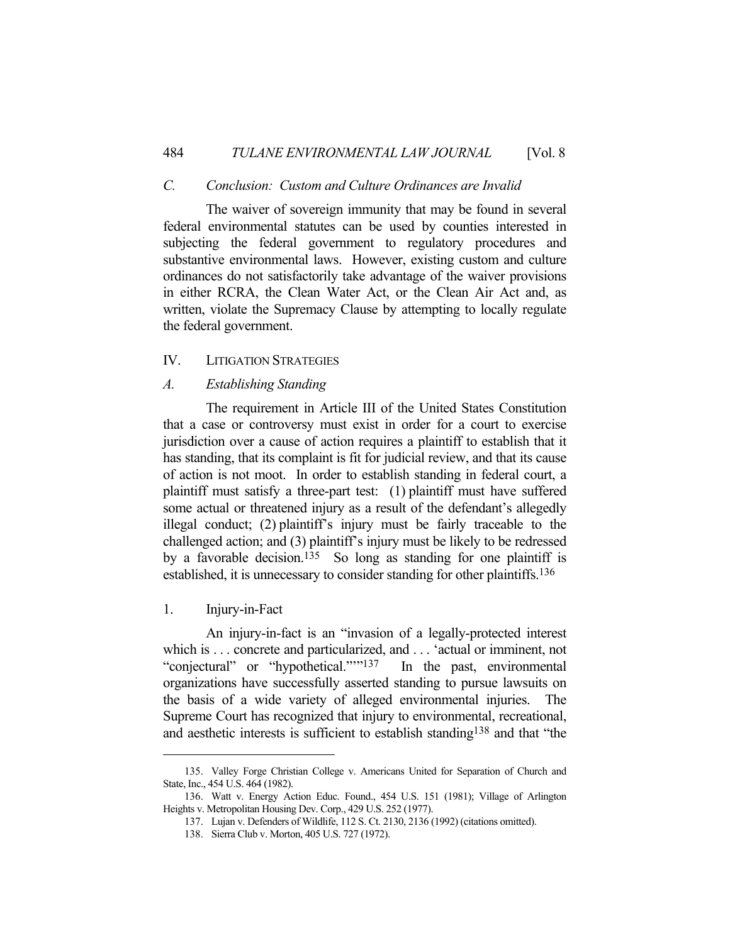### *C. Conclusion: Custom and Culture Ordinances are Invalid*

 The waiver of sovereign immunity that may be found in several federal environmental statutes can be used by counties interested in subjecting the federal government to regulatory procedures and substantive environmental laws. However, existing custom and culture ordinances do not satisfactorily take advantage of the waiver provisions in either RCRA, the Clean Water Act, or the Clean Air Act and, as written, violate the Supremacy Clause by attempting to locally regulate the federal government.

## IV. LITIGATION STRATEGIES

### *A. Establishing Standing*

 The requirement in Article III of the United States Constitution that a case or controversy must exist in order for a court to exercise jurisdiction over a cause of action requires a plaintiff to establish that it has standing, that its complaint is fit for judicial review, and that its cause of action is not moot. In order to establish standing in federal court, a plaintiff must satisfy a three-part test: (1) plaintiff must have suffered some actual or threatened injury as a result of the defendant's allegedly illegal conduct; (2) plaintiff's injury must be fairly traceable to the challenged action; and (3) plaintiff's injury must be likely to be redressed by a favorable decision.<sup>135</sup> So long as standing for one plaintiff is established, it is unnecessary to consider standing for other plaintiffs.<sup>136</sup>

1. Injury-in-Fact

 An injury-in-fact is an "invasion of a legally-protected interest which is . . . concrete and particularized, and . . . 'actual or imminent, not "conjectural" or "hypothetical."""137 In the past, environmental organizations have successfully asserted standing to pursue lawsuits on the basis of a wide variety of alleged environmental injuries. The Supreme Court has recognized that injury to environmental, recreational, and aesthetic interests is sufficient to establish standing138 and that "the

 <sup>135.</sup> Valley Forge Christian College v. Americans United for Separation of Church and State, Inc., 454 U.S. 464 (1982).

 <sup>136.</sup> Watt v. Energy Action Educ. Found., 454 U.S. 151 (1981); Village of Arlington Heights v. Metropolitan Housing Dev. Corp., 429 U.S. 252 (1977).

 <sup>137.</sup> Lujan v. Defenders of Wildlife, 112 S. Ct. 2130, 2136 (1992) (citations omitted).

 <sup>138.</sup> Sierra Club v. Morton, 405 U.S. 727 (1972).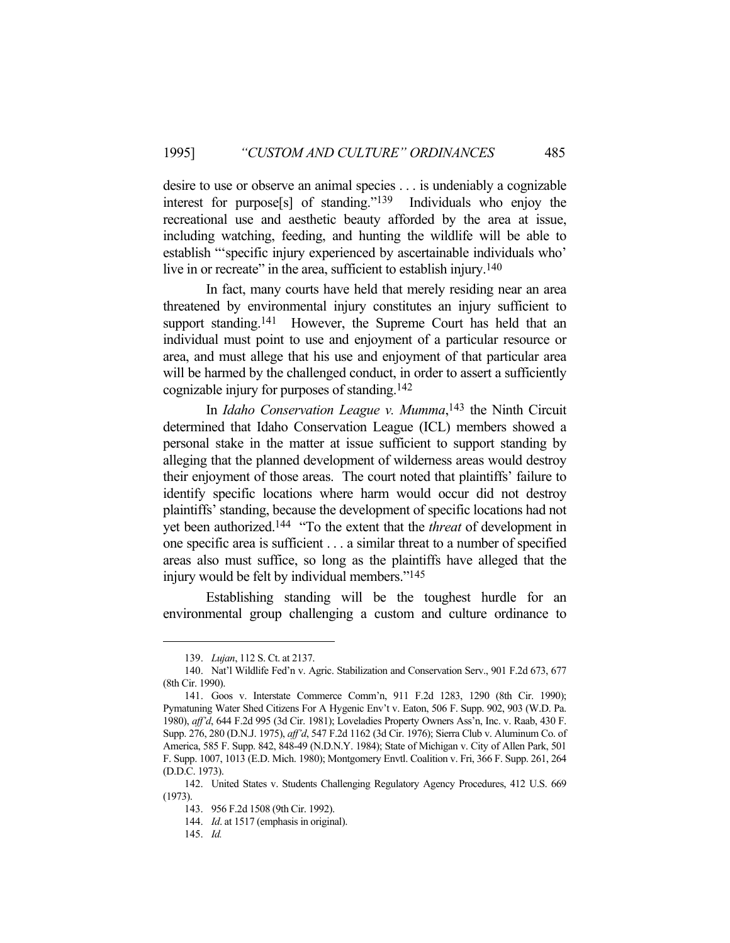desire to use or observe an animal species . . . is undeniably a cognizable interest for purpose[s] of standing."139 Individuals who enjoy the recreational use and aesthetic beauty afforded by the area at issue, including watching, feeding, and hunting the wildlife will be able to establish "'specific injury experienced by ascertainable individuals who' live in or recreate" in the area, sufficient to establish injury.<sup>140</sup>

 In fact, many courts have held that merely residing near an area threatened by environmental injury constitutes an injury sufficient to support standing.<sup>141</sup> However, the Supreme Court has held that an individual must point to use and enjoyment of a particular resource or area, and must allege that his use and enjoyment of that particular area will be harmed by the challenged conduct, in order to assert a sufficiently cognizable injury for purposes of standing.142

 In *Idaho Conservation League v. Mumma*, 143 the Ninth Circuit determined that Idaho Conservation League (ICL) members showed a personal stake in the matter at issue sufficient to support standing by alleging that the planned development of wilderness areas would destroy their enjoyment of those areas. The court noted that plaintiffs' failure to identify specific locations where harm would occur did not destroy plaintiffs' standing, because the development of specific locations had not yet been authorized.144 "To the extent that the *threat* of development in one specific area is sufficient . . . a similar threat to a number of specified areas also must suffice, so long as the plaintiffs have alleged that the injury would be felt by individual members."145

 Establishing standing will be the toughest hurdle for an environmental group challenging a custom and culture ordinance to

 <sup>139.</sup> *Lujan*, 112 S. Ct. at 2137.

 <sup>140.</sup> Nat'l Wildlife Fed'n v. Agric. Stabilization and Conservation Serv., 901 F.2d 673, 677 (8th Cir. 1990).

 <sup>141.</sup> Goos v. Interstate Commerce Comm'n, 911 F.2d 1283, 1290 (8th Cir. 1990); Pymatuning Water Shed Citizens For A Hygenic Env't v. Eaton, 506 F. Supp. 902, 903 (W.D. Pa. 1980), *aff'd*, 644 F.2d 995 (3d Cir. 1981); Loveladies Property Owners Ass'n, Inc. v. Raab, 430 F. Supp. 276, 280 (D.N.J. 1975), *aff'd*, 547 F.2d 1162 (3d Cir. 1976); Sierra Club v. Aluminum Co. of America, 585 F. Supp. 842, 848-49 (N.D.N.Y. 1984); State of Michigan v. City of Allen Park, 501 F. Supp. 1007, 1013 (E.D. Mich. 1980); Montgomery Envtl. Coalition v. Fri, 366 F. Supp. 261, 264 (D.D.C. 1973).

 <sup>142.</sup> United States v. Students Challenging Regulatory Agency Procedures, 412 U.S. 669 (1973).

 <sup>143. 956</sup> F.2d 1508 (9th Cir. 1992).

 <sup>144.</sup> *Id*. at 1517 (emphasis in original).

 <sup>145.</sup> *Id.*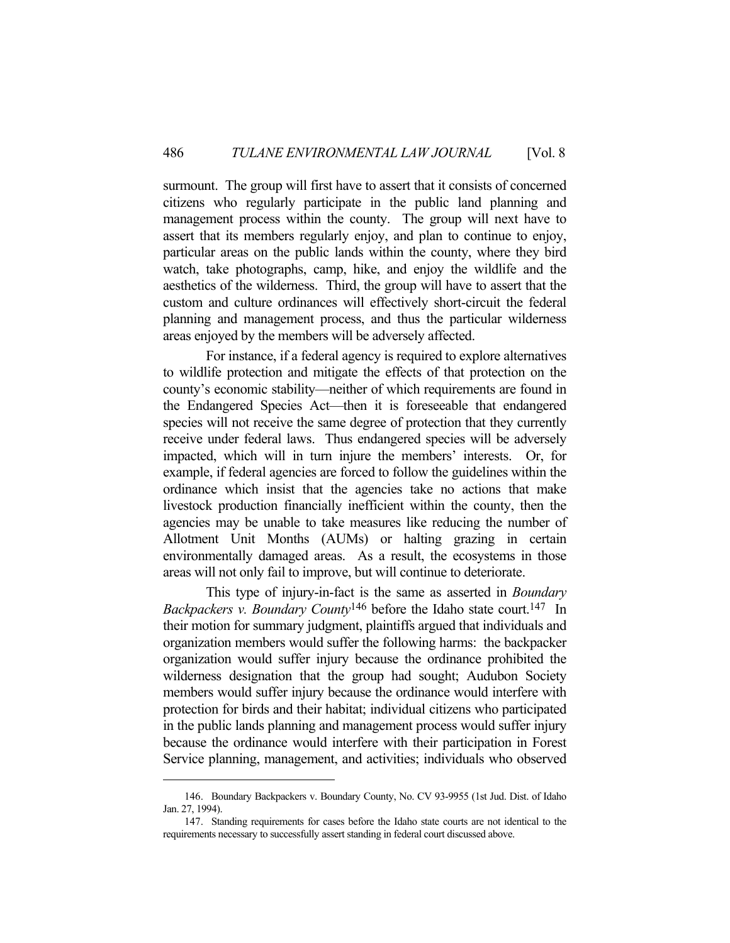surmount. The group will first have to assert that it consists of concerned citizens who regularly participate in the public land planning and management process within the county. The group will next have to assert that its members regularly enjoy, and plan to continue to enjoy, particular areas on the public lands within the county, where they bird watch, take photographs, camp, hike, and enjoy the wildlife and the aesthetics of the wilderness. Third, the group will have to assert that the custom and culture ordinances will effectively short-circuit the federal planning and management process, and thus the particular wilderness areas enjoyed by the members will be adversely affected.

 For instance, if a federal agency is required to explore alternatives to wildlife protection and mitigate the effects of that protection on the county's economic stability—neither of which requirements are found in the Endangered Species Act—then it is foreseeable that endangered species will not receive the same degree of protection that they currently receive under federal laws. Thus endangered species will be adversely impacted, which will in turn injure the members' interests. Or, for example, if federal agencies are forced to follow the guidelines within the ordinance which insist that the agencies take no actions that make livestock production financially inefficient within the county, then the agencies may be unable to take measures like reducing the number of Allotment Unit Months (AUMs) or halting grazing in certain environmentally damaged areas. As a result, the ecosystems in those areas will not only fail to improve, but will continue to deteriorate.

 This type of injury-in-fact is the same as asserted in *Boundary Backpackers v. Boundary County*<sup>146</sup> before the Idaho state court.<sup>147</sup> In their motion for summary judgment, plaintiffs argued that individuals and organization members would suffer the following harms: the backpacker organization would suffer injury because the ordinance prohibited the wilderness designation that the group had sought; Audubon Society members would suffer injury because the ordinance would interfere with protection for birds and their habitat; individual citizens who participated in the public lands planning and management process would suffer injury because the ordinance would interfere with their participation in Forest Service planning, management, and activities; individuals who observed

 <sup>146.</sup> Boundary Backpackers v. Boundary County, No. CV 93-9955 (1st Jud. Dist. of Idaho Jan. 27, 1994).

 <sup>147.</sup> Standing requirements for cases before the Idaho state courts are not identical to the requirements necessary to successfully assert standing in federal court discussed above.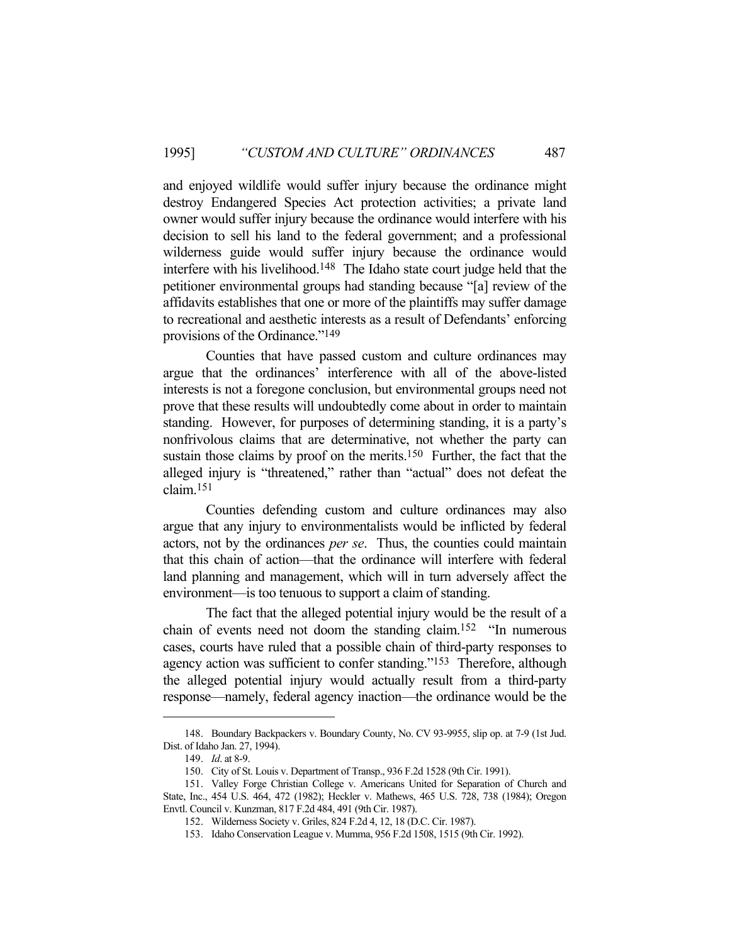and enjoyed wildlife would suffer injury because the ordinance might destroy Endangered Species Act protection activities; a private land owner would suffer injury because the ordinance would interfere with his decision to sell his land to the federal government; and a professional wilderness guide would suffer injury because the ordinance would interfere with his livelihood.148 The Idaho state court judge held that the petitioner environmental groups had standing because "[a] review of the affidavits establishes that one or more of the plaintiffs may suffer damage to recreational and aesthetic interests as a result of Defendants' enforcing provisions of the Ordinance."149

 Counties that have passed custom and culture ordinances may argue that the ordinances' interference with all of the above-listed interests is not a foregone conclusion, but environmental groups need not prove that these results will undoubtedly come about in order to maintain standing. However, for purposes of determining standing, it is a party's nonfrivolous claims that are determinative, not whether the party can sustain those claims by proof on the merits.<sup>150</sup> Further, the fact that the alleged injury is "threatened," rather than "actual" does not defeat the claim.151

 Counties defending custom and culture ordinances may also argue that any injury to environmentalists would be inflicted by federal actors, not by the ordinances *per se*. Thus, the counties could maintain that this chain of action—that the ordinance will interfere with federal land planning and management, which will in turn adversely affect the environment—is too tenuous to support a claim of standing.

 The fact that the alleged potential injury would be the result of a chain of events need not doom the standing claim.152 "In numerous cases, courts have ruled that a possible chain of third-party responses to agency action was sufficient to confer standing."153 Therefore, although the alleged potential injury would actually result from a third-party response—namely, federal agency inaction—the ordinance would be the

 <sup>148.</sup> Boundary Backpackers v. Boundary County, No. CV 93-9955, slip op. at 7-9 (1st Jud. Dist. of Idaho Jan. 27, 1994).

<sup>149.</sup> *Id*. at 8-9.

 <sup>150.</sup> City of St. Louis v. Department of Transp., 936 F.2d 1528 (9th Cir. 1991).

 <sup>151.</sup> Valley Forge Christian College v. Americans United for Separation of Church and State, Inc., 454 U.S. 464, 472 (1982); Heckler v. Mathews, 465 U.S. 728, 738 (1984); Oregon Envtl. Council v. Kunzman, 817 F.2d 484, 491 (9th Cir. 1987).

 <sup>152.</sup> Wilderness Society v. Griles, 824 F.2d 4, 12, 18 (D.C. Cir. 1987).

 <sup>153.</sup> Idaho Conservation League v. Mumma, 956 F.2d 1508, 1515 (9th Cir. 1992).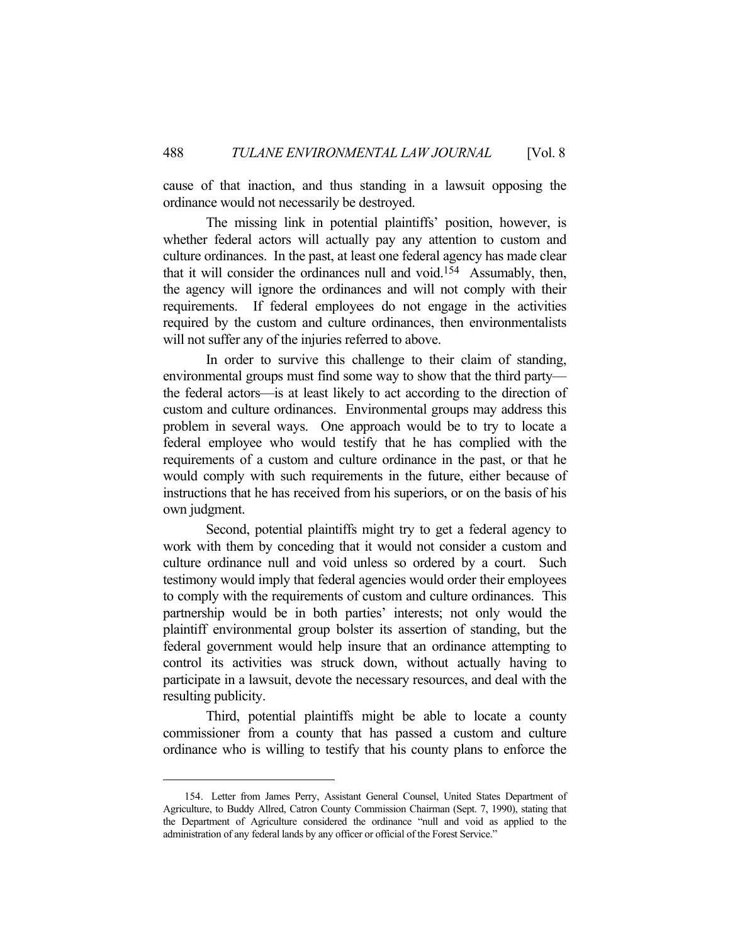cause of that inaction, and thus standing in a lawsuit opposing the ordinance would not necessarily be destroyed.

 The missing link in potential plaintiffs' position, however, is whether federal actors will actually pay any attention to custom and culture ordinances. In the past, at least one federal agency has made clear that it will consider the ordinances null and void.154 Assumably, then, the agency will ignore the ordinances and will not comply with their requirements. If federal employees do not engage in the activities required by the custom and culture ordinances, then environmentalists will not suffer any of the injuries referred to above.

 In order to survive this challenge to their claim of standing, environmental groups must find some way to show that the third party the federal actors—is at least likely to act according to the direction of custom and culture ordinances. Environmental groups may address this problem in several ways. One approach would be to try to locate a federal employee who would testify that he has complied with the requirements of a custom and culture ordinance in the past, or that he would comply with such requirements in the future, either because of instructions that he has received from his superiors, or on the basis of his own judgment.

 Second, potential plaintiffs might try to get a federal agency to work with them by conceding that it would not consider a custom and culture ordinance null and void unless so ordered by a court. Such testimony would imply that federal agencies would order their employees to comply with the requirements of custom and culture ordinances. This partnership would be in both parties' interests; not only would the plaintiff environmental group bolster its assertion of standing, but the federal government would help insure that an ordinance attempting to control its activities was struck down, without actually having to participate in a lawsuit, devote the necessary resources, and deal with the resulting publicity.

 Third, potential plaintiffs might be able to locate a county commissioner from a county that has passed a custom and culture ordinance who is willing to testify that his county plans to enforce the

 <sup>154.</sup> Letter from James Perry, Assistant General Counsel, United States Department of Agriculture, to Buddy Allred, Catron County Commission Chairman (Sept. 7, 1990), stating that the Department of Agriculture considered the ordinance "null and void as applied to the administration of any federal lands by any officer or official of the Forest Service."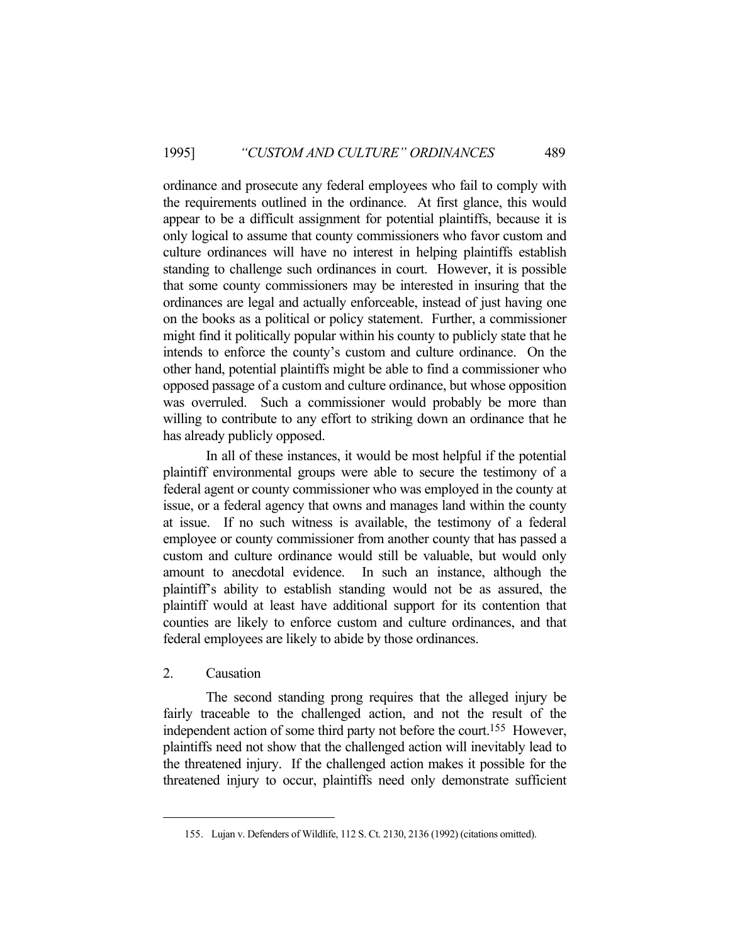ordinance and prosecute any federal employees who fail to comply with the requirements outlined in the ordinance. At first glance, this would appear to be a difficult assignment for potential plaintiffs, because it is only logical to assume that county commissioners who favor custom and culture ordinances will have no interest in helping plaintiffs establish standing to challenge such ordinances in court. However, it is possible that some county commissioners may be interested in insuring that the ordinances are legal and actually enforceable, instead of just having one on the books as a political or policy statement. Further, a commissioner might find it politically popular within his county to publicly state that he intends to enforce the county's custom and culture ordinance. On the other hand, potential plaintiffs might be able to find a commissioner who opposed passage of a custom and culture ordinance, but whose opposition was overruled. Such a commissioner would probably be more than willing to contribute to any effort to striking down an ordinance that he has already publicly opposed.

 In all of these instances, it would be most helpful if the potential plaintiff environmental groups were able to secure the testimony of a federal agent or county commissioner who was employed in the county at issue, or a federal agency that owns and manages land within the county at issue. If no such witness is available, the testimony of a federal employee or county commissioner from another county that has passed a custom and culture ordinance would still be valuable, but would only amount to anecdotal evidence. In such an instance, although the plaintiff's ability to establish standing would not be as assured, the plaintiff would at least have additional support for its contention that counties are likely to enforce custom and culture ordinances, and that federal employees are likely to abide by those ordinances.

### 2. Causation

 The second standing prong requires that the alleged injury be fairly traceable to the challenged action, and not the result of the independent action of some third party not before the court.155 However, plaintiffs need not show that the challenged action will inevitably lead to the threatened injury. If the challenged action makes it possible for the threatened injury to occur, plaintiffs need only demonstrate sufficient

 <sup>155.</sup> Lujan v. Defenders of Wildlife, 112 S. Ct. 2130, 2136 (1992) (citations omitted).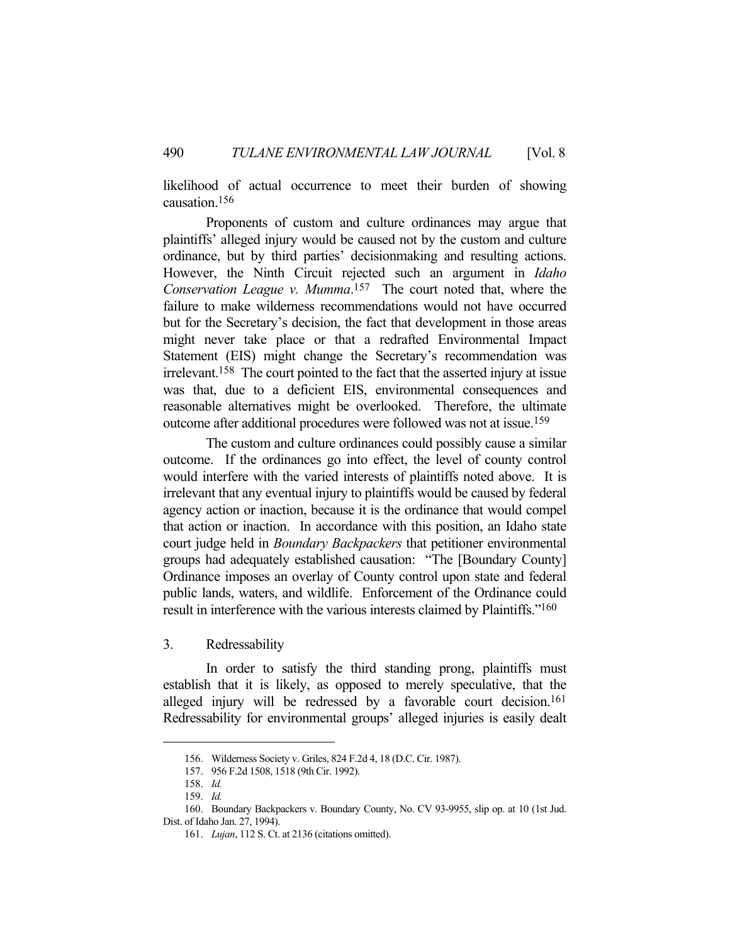likelihood of actual occurrence to meet their burden of showing causation.156

 Proponents of custom and culture ordinances may argue that plaintiffs' alleged injury would be caused not by the custom and culture ordinance, but by third parties' decisionmaking and resulting actions. However, the Ninth Circuit rejected such an argument in *Idaho Conservation League v. Mumma*. 157 The court noted that, where the failure to make wilderness recommendations would not have occurred but for the Secretary's decision, the fact that development in those areas might never take place or that a redrafted Environmental Impact Statement (EIS) might change the Secretary's recommendation was irrelevant.158 The court pointed to the fact that the asserted injury at issue was that, due to a deficient EIS, environmental consequences and reasonable alternatives might be overlooked. Therefore, the ultimate outcome after additional procedures were followed was not at issue.159

 The custom and culture ordinances could possibly cause a similar outcome. If the ordinances go into effect, the level of county control would interfere with the varied interests of plaintiffs noted above. It is irrelevant that any eventual injury to plaintiffs would be caused by federal agency action or inaction, because it is the ordinance that would compel that action or inaction. In accordance with this position, an Idaho state court judge held in *Boundary Backpackers* that petitioner environmental groups had adequately established causation: "The [Boundary County] Ordinance imposes an overlay of County control upon state and federal public lands, waters, and wildlife. Enforcement of the Ordinance could result in interference with the various interests claimed by Plaintiffs."160

3. Redressability

 In order to satisfy the third standing prong, plaintiffs must establish that it is likely, as opposed to merely speculative, that the alleged injury will be redressed by a favorable court decision.<sup>161</sup> Redressability for environmental groups' alleged injuries is easily dealt

 <sup>156.</sup> Wilderness Society v. Griles, 824 F.2d 4, 18 (D.C. Cir. 1987).

 <sup>157. 956</sup> F.2d 1508, 1518 (9th Cir. 1992).

 <sup>158.</sup> *Id.*

 <sup>159.</sup> *Id.*

 <sup>160.</sup> Boundary Backpackers v. Boundary County, No. CV 93-9955, slip op. at 10 (1st Jud. Dist. of Idaho Jan. 27, 1994).

 <sup>161.</sup> *Lujan*, 112 S. Ct. at 2136 (citations omitted).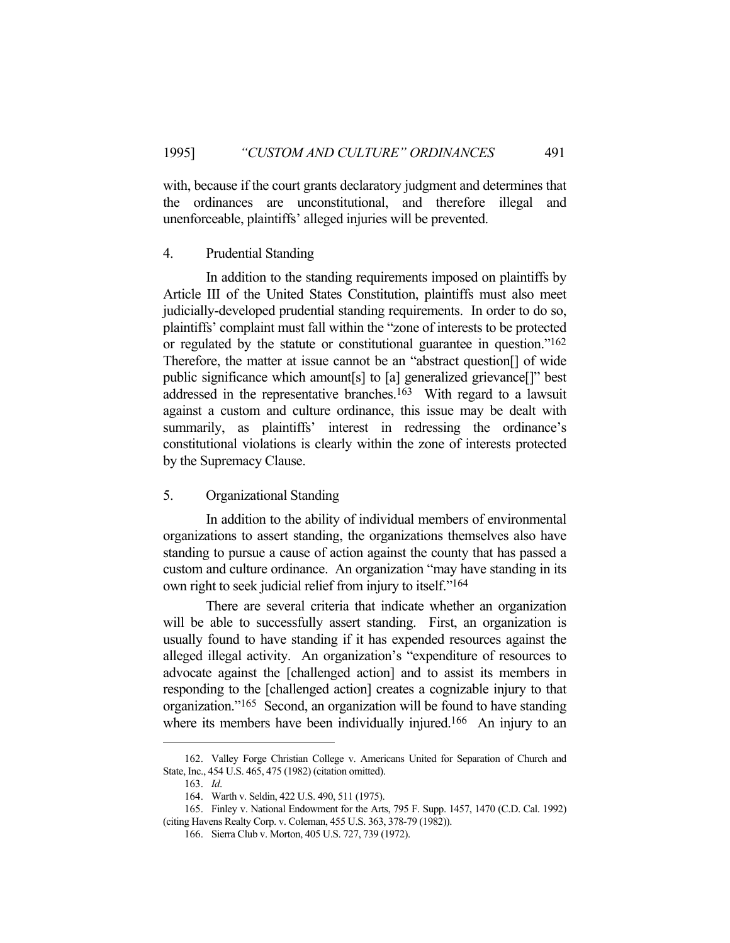with, because if the court grants declaratory judgment and determines that the ordinances are unconstitutional, and therefore illegal and unenforceable, plaintiffs' alleged injuries will be prevented.

### 4. Prudential Standing

 In addition to the standing requirements imposed on plaintiffs by Article III of the United States Constitution, plaintiffs must also meet judicially-developed prudential standing requirements. In order to do so, plaintiffs' complaint must fall within the "zone of interests to be protected or regulated by the statute or constitutional guarantee in question."162 Therefore, the matter at issue cannot be an "abstract question[] of wide public significance which amount[s] to [a] generalized grievance[]" best addressed in the representative branches.163 With regard to a lawsuit against a custom and culture ordinance, this issue may be dealt with summarily, as plaintiffs' interest in redressing the ordinance's constitutional violations is clearly within the zone of interests protected by the Supremacy Clause.

### 5. Organizational Standing

 In addition to the ability of individual members of environmental organizations to assert standing, the organizations themselves also have standing to pursue a cause of action against the county that has passed a custom and culture ordinance. An organization "may have standing in its own right to seek judicial relief from injury to itself."164

 There are several criteria that indicate whether an organization will be able to successfully assert standing. First, an organization is usually found to have standing if it has expended resources against the alleged illegal activity. An organization's "expenditure of resources to advocate against the [challenged action] and to assist its members in responding to the [challenged action] creates a cognizable injury to that organization."165 Second, an organization will be found to have standing where its members have been individually injured.<sup>166</sup> An injury to an

 <sup>162.</sup> Valley Forge Christian College v. Americans United for Separation of Church and State, Inc., 454 U.S. 465, 475 (1982) (citation omitted).

<sup>163.</sup> *Id*.

 <sup>164.</sup> Warth v. Seldin, 422 U.S. 490, 511 (1975).

 <sup>165.</sup> Finley v. National Endowment for the Arts, 795 F. Supp. 1457, 1470 (C.D. Cal. 1992) (citing Havens Realty Corp. v. Coleman, 455 U.S. 363, 378-79 (1982)).

 <sup>166.</sup> Sierra Club v. Morton, 405 U.S. 727, 739 (1972).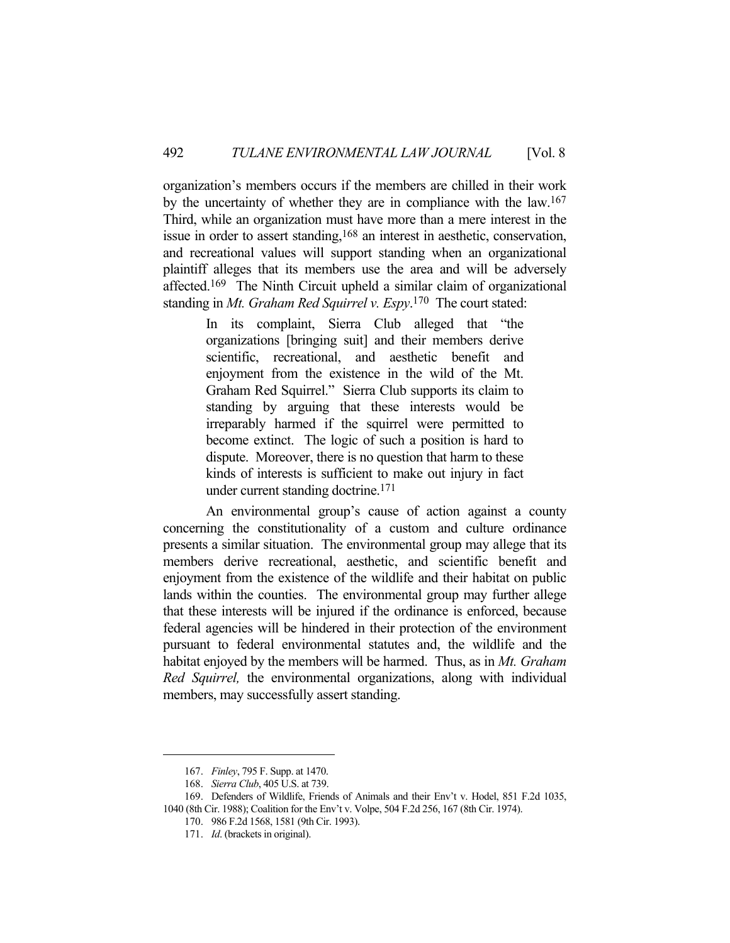organization's members occurs if the members are chilled in their work by the uncertainty of whether they are in compliance with the law.167 Third, while an organization must have more than a mere interest in the issue in order to assert standing,168 an interest in aesthetic, conservation, and recreational values will support standing when an organizational plaintiff alleges that its members use the area and will be adversely affected.169 The Ninth Circuit upheld a similar claim of organizational standing in *Mt. Graham Red Squirrel v. Espy*. 170 The court stated:

> In its complaint, Sierra Club alleged that "the organizations [bringing suit] and their members derive scientific, recreational, and aesthetic benefit and enjoyment from the existence in the wild of the Mt. Graham Red Squirrel." Sierra Club supports its claim to standing by arguing that these interests would be irreparably harmed if the squirrel were permitted to become extinct. The logic of such a position is hard to dispute. Moreover, there is no question that harm to these kinds of interests is sufficient to make out injury in fact under current standing doctrine.171

 An environmental group's cause of action against a county concerning the constitutionality of a custom and culture ordinance presents a similar situation. The environmental group may allege that its members derive recreational, aesthetic, and scientific benefit and enjoyment from the existence of the wildlife and their habitat on public lands within the counties. The environmental group may further allege that these interests will be injured if the ordinance is enforced, because federal agencies will be hindered in their protection of the environment pursuant to federal environmental statutes and, the wildlife and the habitat enjoyed by the members will be harmed. Thus, as in *Mt. Graham Red Squirrel,* the environmental organizations, along with individual members, may successfully assert standing.

 <sup>167.</sup> *Finley*, 795 F. Supp. at 1470.

 <sup>168.</sup> *Sierra Club*, 405 U.S. at 739.

 <sup>169.</sup> Defenders of Wildlife, Friends of Animals and their Env't v. Hodel, 851 F.2d 1035, 1040 (8th Cir. 1988); Coalition for the Env't v. Volpe, 504 F.2d 256, 167 (8th Cir. 1974).

 <sup>170. 986</sup> F.2d 1568, 1581 (9th Cir. 1993).

 <sup>171.</sup> *Id*. (brackets in original).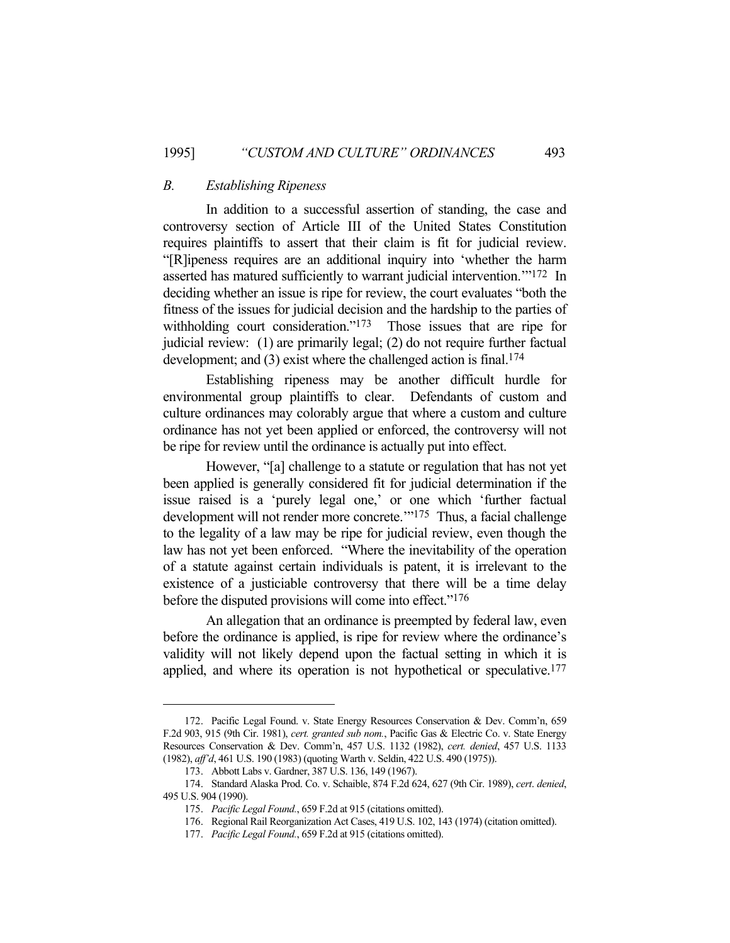### *B. Establishing Ripeness*

 In addition to a successful assertion of standing, the case and controversy section of Article III of the United States Constitution requires plaintiffs to assert that their claim is fit for judicial review. "[R]ipeness requires are an additional inquiry into 'whether the harm asserted has matured sufficiently to warrant judicial intervention.'"172 In deciding whether an issue is ripe for review, the court evaluates "both the fitness of the issues for judicial decision and the hardship to the parties of withholding court consideration."<sup>173</sup> Those issues that are ripe for judicial review: (1) are primarily legal; (2) do not require further factual development; and (3) exist where the challenged action is final.<sup>174</sup>

 Establishing ripeness may be another difficult hurdle for environmental group plaintiffs to clear. Defendants of custom and culture ordinances may colorably argue that where a custom and culture ordinance has not yet been applied or enforced, the controversy will not be ripe for review until the ordinance is actually put into effect.

 However, "[a] challenge to a statute or regulation that has not yet been applied is generally considered fit for judicial determination if the issue raised is a 'purely legal one,' or one which 'further factual development will not render more concrete."<sup>175</sup> Thus, a facial challenge to the legality of a law may be ripe for judicial review, even though the law has not yet been enforced. "Where the inevitability of the operation of a statute against certain individuals is patent, it is irrelevant to the existence of a justiciable controversy that there will be a time delay before the disputed provisions will come into effect."176

 An allegation that an ordinance is preempted by federal law, even before the ordinance is applied, is ripe for review where the ordinance's validity will not likely depend upon the factual setting in which it is applied, and where its operation is not hypothetical or speculative.177

 <sup>172.</sup> Pacific Legal Found. v. State Energy Resources Conservation & Dev. Comm'n, 659 F.2d 903, 915 (9th Cir. 1981), *cert. granted sub nom.*, Pacific Gas & Electric Co. v. State Energy Resources Conservation & Dev. Comm'n, 457 U.S. 1132 (1982), *cert. denied*, 457 U.S. 1133 (1982), *aff'd*, 461 U.S. 190 (1983) (quoting Warth v. Seldin, 422 U.S. 490 (1975)).

 <sup>173.</sup> Abbott Labs v. Gardner, 387 U.S. 136, 149 (1967).

 <sup>174.</sup> Standard Alaska Prod. Co. v. Schaible, 874 F.2d 624, 627 (9th Cir. 1989), *cert*. *denied*, 495 U.S. 904 (1990).

 <sup>175.</sup> *Pacific Legal Found.*, 659 F.2d at 915 (citations omitted).

 <sup>176.</sup> Regional Rail Reorganization Act Cases, 419 U.S. 102, 143 (1974) (citation omitted).

 <sup>177.</sup> *Pacific Legal Found.*, 659 F.2d at 915 (citations omitted).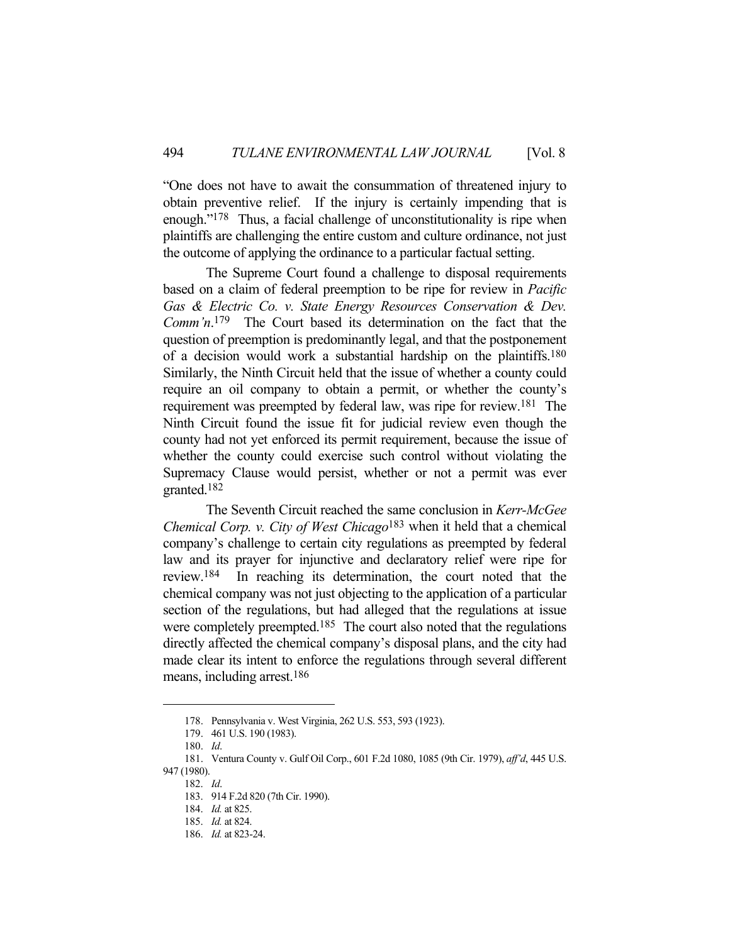"One does not have to await the consummation of threatened injury to obtain preventive relief. If the injury is certainly impending that is enough."<sup>178</sup> Thus, a facial challenge of unconstitutionality is ripe when plaintiffs are challenging the entire custom and culture ordinance, not just the outcome of applying the ordinance to a particular factual setting.

 The Supreme Court found a challenge to disposal requirements based on a claim of federal preemption to be ripe for review in *Pacific*  Gas & Electric Co. v. State Energy Resources Conservation & Dev. *Comm'n*. 179 The Court based its determination on the fact that the question of preemption is predominantly legal, and that the postponement of a decision would work a substantial hardship on the plaintiffs.180 Similarly, the Ninth Circuit held that the issue of whether a county could require an oil company to obtain a permit, or whether the county's requirement was preempted by federal law, was ripe for review.181 The Ninth Circuit found the issue fit for judicial review even though the county had not yet enforced its permit requirement, because the issue of whether the county could exercise such control without violating the Supremacy Clause would persist, whether or not a permit was ever granted.182

 The Seventh Circuit reached the same conclusion in *Kerr-McGee Chemical Corp. v. City of West Chicago*183 when it held that a chemical company's challenge to certain city regulations as preempted by federal law and its prayer for injunctive and declaratory relief were ripe for review.184 In reaching its determination, the court noted that the chemical company was not just objecting to the application of a particular section of the regulations, but had alleged that the regulations at issue were completely preempted.<sup>185</sup> The court also noted that the regulations directly affected the chemical company's disposal plans, and the city had made clear its intent to enforce the regulations through several different means, including arrest.186

 <sup>178.</sup> Pennsylvania v. West Virginia, 262 U.S. 553, 593 (1923).

 <sup>179. 461</sup> U.S. 190 (1983).

 <sup>180.</sup> *Id*.

 <sup>181.</sup> Ventura County v. Gulf Oil Corp., 601 F.2d 1080, 1085 (9th Cir. 1979), *aff'd*, 445 U.S. 947 (1980).

<sup>182.</sup> *Id*.

 <sup>183. 914</sup> F.2d 820 (7th Cir. 1990).

 <sup>184.</sup> *Id.* at 825.

 <sup>185.</sup> *Id.* at 824.

 <sup>186.</sup> *Id.* at 823-24.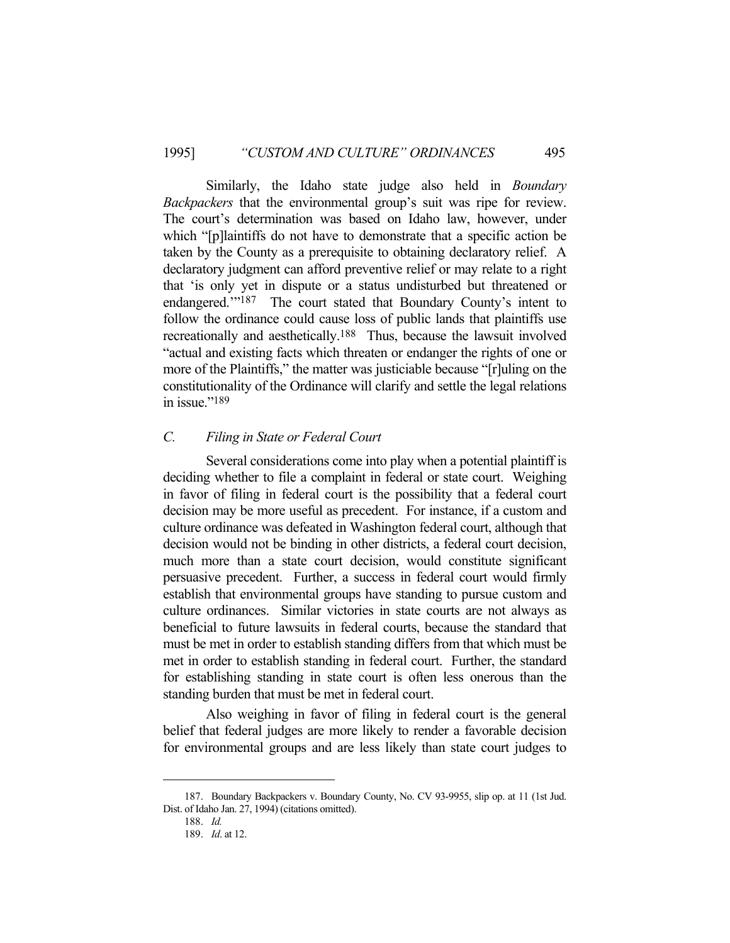Similarly, the Idaho state judge also held in *Boundary Backpackers* that the environmental group's suit was ripe for review. The court's determination was based on Idaho law, however, under which "[p]laintiffs do not have to demonstrate that a specific action be taken by the County as a prerequisite to obtaining declaratory relief. A declaratory judgment can afford preventive relief or may relate to a right that 'is only yet in dispute or a status undisturbed but threatened or endangered."<sup>187</sup> The court stated that Boundary County's intent to follow the ordinance could cause loss of public lands that plaintiffs use recreationally and aesthetically.188 Thus, because the lawsuit involved "actual and existing facts which threaten or endanger the rights of one or more of the Plaintiffs," the matter was justiciable because "[r]uling on the constitutionality of the Ordinance will clarify and settle the legal relations in issue."<sup>189</sup>

#### *C. Filing in State or Federal Court*

 Several considerations come into play when a potential plaintiff is deciding whether to file a complaint in federal or state court. Weighing in favor of filing in federal court is the possibility that a federal court decision may be more useful as precedent. For instance, if a custom and culture ordinance was defeated in Washington federal court, although that decision would not be binding in other districts, a federal court decision, much more than a state court decision, would constitute significant persuasive precedent. Further, a success in federal court would firmly establish that environmental groups have standing to pursue custom and culture ordinances. Similar victories in state courts are not always as beneficial to future lawsuits in federal courts, because the standard that must be met in order to establish standing differs from that which must be met in order to establish standing in federal court. Further, the standard for establishing standing in state court is often less onerous than the standing burden that must be met in federal court.

 Also weighing in favor of filing in federal court is the general belief that federal judges are more likely to render a favorable decision for environmental groups and are less likely than state court judges to

 <sup>187.</sup> Boundary Backpackers v. Boundary County, No. CV 93-9955, slip op. at 11 (1st Jud. Dist. of Idaho Jan. 27, 1994) (citations omitted).

 <sup>188.</sup> *Id.*

<sup>189.</sup> *Id*. at 12.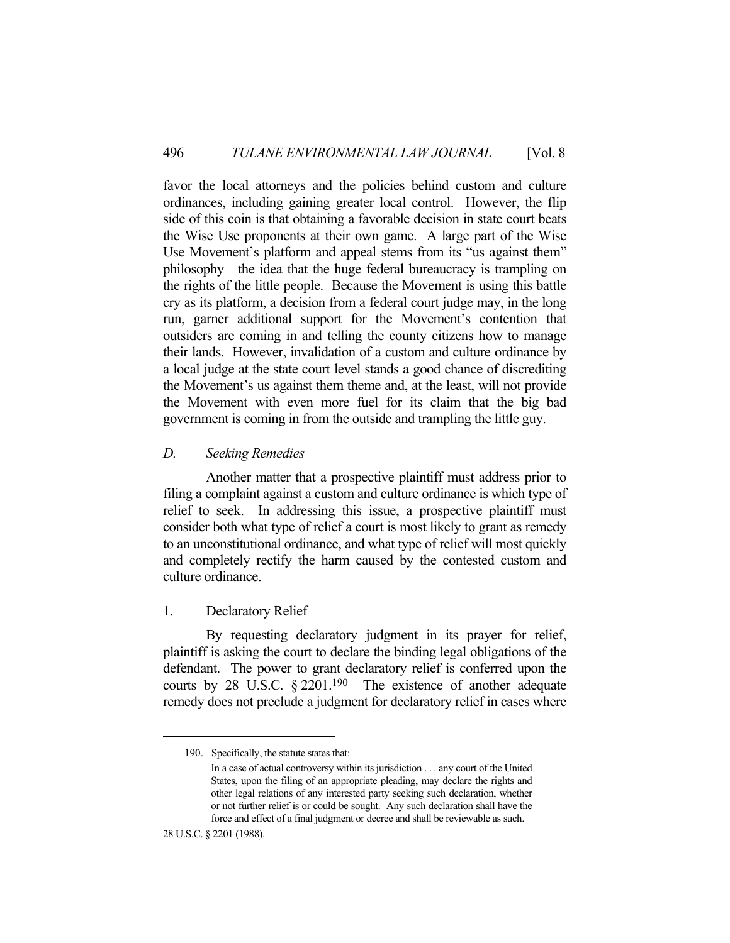favor the local attorneys and the policies behind custom and culture ordinances, including gaining greater local control. However, the flip side of this coin is that obtaining a favorable decision in state court beats the Wise Use proponents at their own game. A large part of the Wise Use Movement's platform and appeal stems from its "us against them" philosophy—the idea that the huge federal bureaucracy is trampling on the rights of the little people. Because the Movement is using this battle cry as its platform, a decision from a federal court judge may, in the long run, garner additional support for the Movement's contention that outsiders are coming in and telling the county citizens how to manage their lands. However, invalidation of a custom and culture ordinance by a local judge at the state court level stands a good chance of discrediting the Movement's us against them theme and, at the least, will not provide the Movement with even more fuel for its claim that the big bad government is coming in from the outside and trampling the little guy.

## *D. Seeking Remedies*

 Another matter that a prospective plaintiff must address prior to filing a complaint against a custom and culture ordinance is which type of relief to seek. In addressing this issue, a prospective plaintiff must consider both what type of relief a court is most likely to grant as remedy to an unconstitutional ordinance, and what type of relief will most quickly and completely rectify the harm caused by the contested custom and culture ordinance.

1. Declaratory Relief

 By requesting declaratory judgment in its prayer for relief, plaintiff is asking the court to declare the binding legal obligations of the defendant. The power to grant declaratory relief is conferred upon the courts by 28 U.S.C.  $\S 2201$ .<sup>190</sup> The existence of another adequate remedy does not preclude a judgment for declaratory relief in cases where

 <sup>190.</sup> Specifically, the statute states that:

In a case of actual controversy within its jurisdiction . . . any court of the United States, upon the filing of an appropriate pleading, may declare the rights and other legal relations of any interested party seeking such declaration, whether or not further relief is or could be sought. Any such declaration shall have the force and effect of a final judgment or decree and shall be reviewable as such.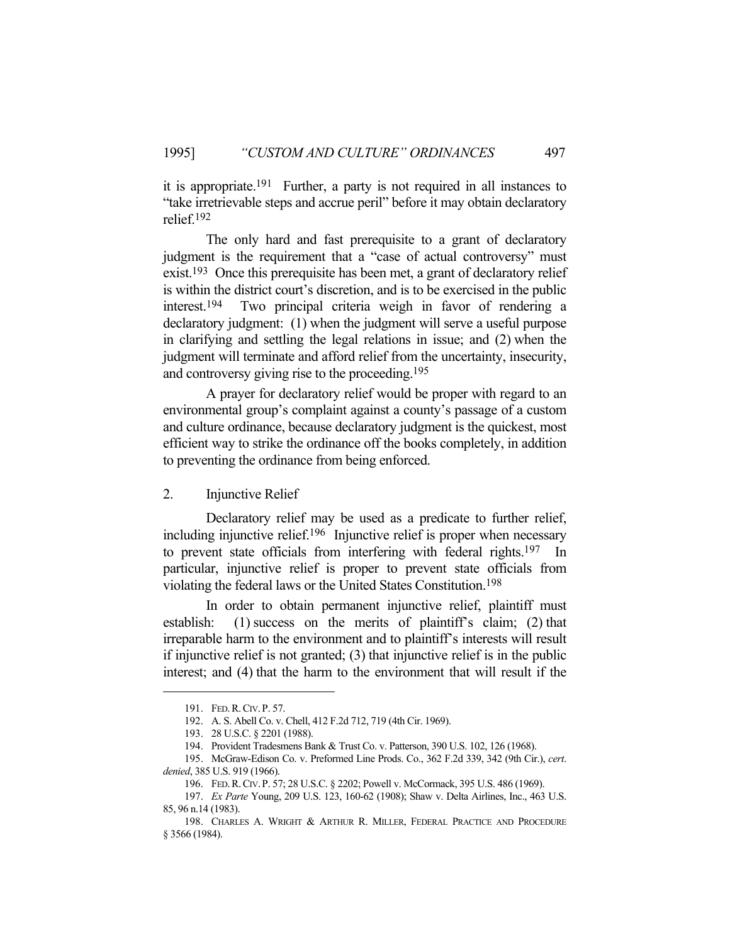it is appropriate.<sup>191</sup> Further, a party is not required in all instances to "take irretrievable steps and accrue peril" before it may obtain declaratory relief.192

 The only hard and fast prerequisite to a grant of declaratory judgment is the requirement that a "case of actual controversy" must exist.193 Once this prerequisite has been met, a grant of declaratory relief is within the district court's discretion, and is to be exercised in the public interest.194 Two principal criteria weigh in favor of rendering a declaratory judgment: (1) when the judgment will serve a useful purpose in clarifying and settling the legal relations in issue; and (2) when the judgment will terminate and afford relief from the uncertainty, insecurity, and controversy giving rise to the proceeding.195

 A prayer for declaratory relief would be proper with regard to an environmental group's complaint against a county's passage of a custom and culture ordinance, because declaratory judgment is the quickest, most efficient way to strike the ordinance off the books completely, in addition to preventing the ordinance from being enforced.

2. Injunctive Relief

 Declaratory relief may be used as a predicate to further relief, including injunctive relief.196 Injunctive relief is proper when necessary to prevent state officials from interfering with federal rights. 197 In particular, injunctive relief is proper to prevent state officials from violating the federal laws or the United States Constitution.198

 In order to obtain permanent injunctive relief, plaintiff must establish: (1) success on the merits of plaintiff's claim; (2) that irreparable harm to the environment and to plaintiff's interests will result if injunctive relief is not granted; (3) that injunctive relief is in the public interest; and (4) that the harm to the environment that will result if the

 <sup>191.</sup> FED.R.CIV. P. 57.

 <sup>192.</sup> A. S. Abell Co. v. Chell, 412 F.2d 712, 719 (4th Cir. 1969).

 <sup>193. 28</sup> U.S.C. § 2201 (1988).

 <sup>194.</sup> Provident Tradesmens Bank & Trust Co. v. Patterson, 390 U.S. 102, 126 (1968).

 <sup>195.</sup> McGraw-Edison Co. v. Preformed Line Prods. Co., 362 F.2d 339, 342 (9th Cir.), *cert*. *denied*, 385 U.S. 919 (1966).

 <sup>196.</sup> FED.R.CIV. P. 57; 28 U.S.C. § 2202; Powell v. McCormack, 395 U.S. 486 (1969).

 <sup>197.</sup> *Ex Parte* Young, 209 U.S. 123, 160-62 (1908); Shaw v. Delta Airlines, Inc., 463 U.S. 85, 96 n.14 (1983).

 <sup>198.</sup> CHARLES A. WRIGHT & ARTHUR R. MILLER, FEDERAL PRACTICE AND PROCEDURE § 3566 (1984).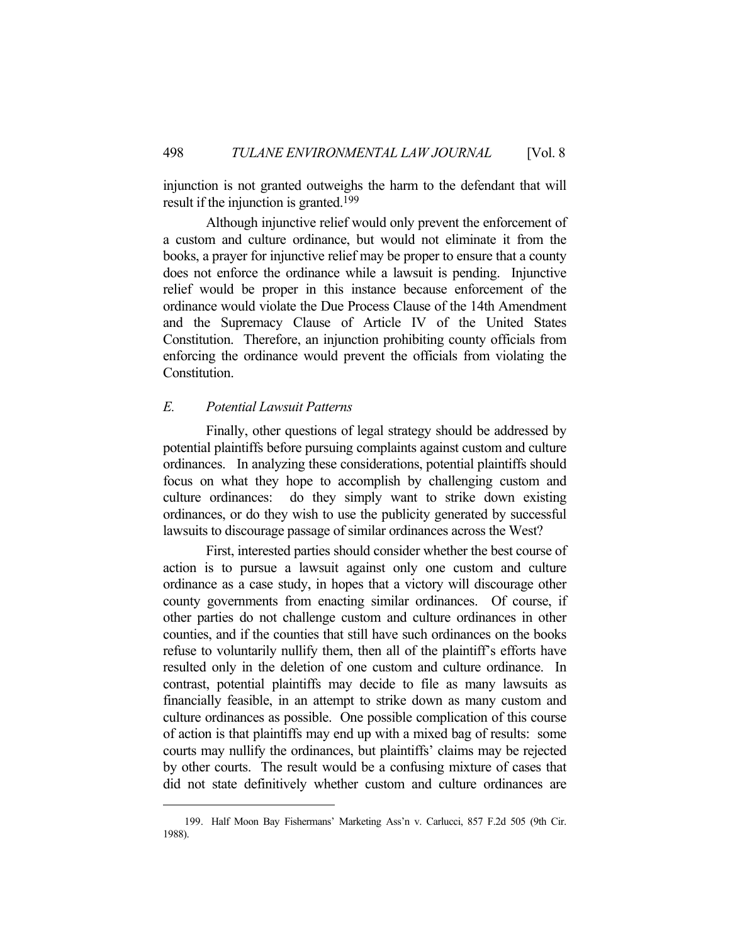injunction is not granted outweighs the harm to the defendant that will result if the injunction is granted.199

 Although injunctive relief would only prevent the enforcement of a custom and culture ordinance, but would not eliminate it from the books, a prayer for injunctive relief may be proper to ensure that a county does not enforce the ordinance while a lawsuit is pending. Injunctive relief would be proper in this instance because enforcement of the ordinance would violate the Due Process Clause of the 14th Amendment and the Supremacy Clause of Article IV of the United States Constitution. Therefore, an injunction prohibiting county officials from enforcing the ordinance would prevent the officials from violating the Constitution.

### *E. Potential Lawsuit Patterns*

 Finally, other questions of legal strategy should be addressed by potential plaintiffs before pursuing complaints against custom and culture ordinances. In analyzing these considerations, potential plaintiffs should focus on what they hope to accomplish by challenging custom and culture ordinances: do they simply want to strike down existing ordinances, or do they wish to use the publicity generated by successful lawsuits to discourage passage of similar ordinances across the West?

 First, interested parties should consider whether the best course of action is to pursue a lawsuit against only one custom and culture ordinance as a case study, in hopes that a victory will discourage other county governments from enacting similar ordinances. Of course, if other parties do not challenge custom and culture ordinances in other counties, and if the counties that still have such ordinances on the books refuse to voluntarily nullify them, then all of the plaintiff's efforts have resulted only in the deletion of one custom and culture ordinance. In contrast, potential plaintiffs may decide to file as many lawsuits as financially feasible, in an attempt to strike down as many custom and culture ordinances as possible. One possible complication of this course of action is that plaintiffs may end up with a mixed bag of results: some courts may nullify the ordinances, but plaintiffs' claims may be rejected by other courts. The result would be a confusing mixture of cases that did not state definitively whether custom and culture ordinances are

 <sup>199.</sup> Half Moon Bay Fishermans' Marketing Ass'n v. Carlucci, 857 F.2d 505 (9th Cir. 1988).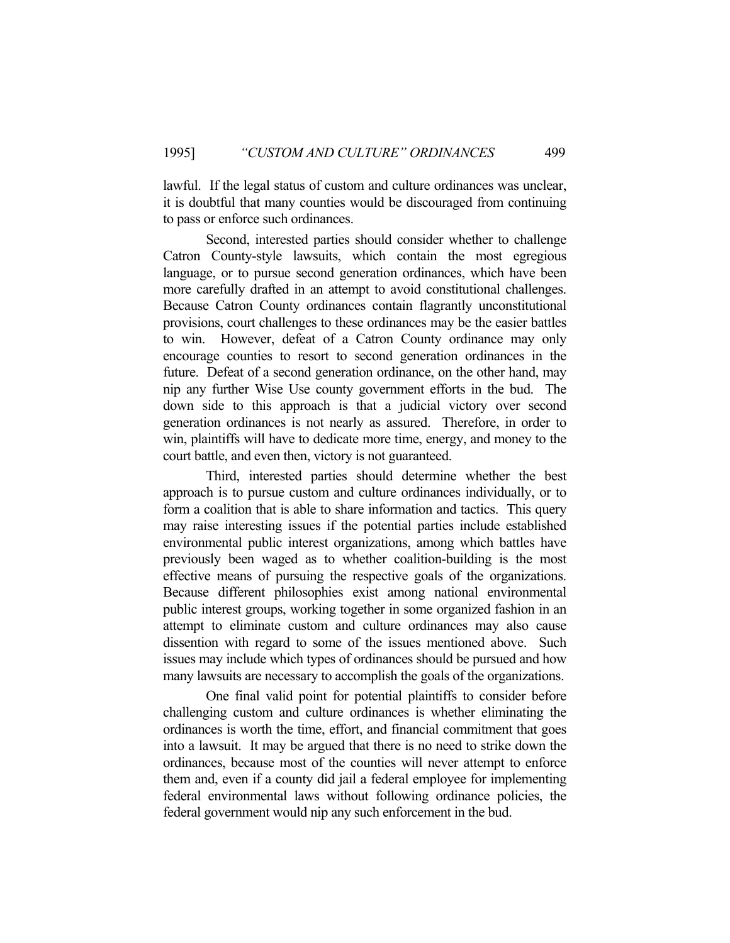lawful. If the legal status of custom and culture ordinances was unclear, it is doubtful that many counties would be discouraged from continuing to pass or enforce such ordinances.

 Second, interested parties should consider whether to challenge Catron County-style lawsuits, which contain the most egregious language, or to pursue second generation ordinances, which have been more carefully drafted in an attempt to avoid constitutional challenges. Because Catron County ordinances contain flagrantly unconstitutional provisions, court challenges to these ordinances may be the easier battles to win. However, defeat of a Catron County ordinance may only encourage counties to resort to second generation ordinances in the future. Defeat of a second generation ordinance, on the other hand, may nip any further Wise Use county government efforts in the bud. The down side to this approach is that a judicial victory over second generation ordinances is not nearly as assured. Therefore, in order to win, plaintiffs will have to dedicate more time, energy, and money to the court battle, and even then, victory is not guaranteed.

 Third, interested parties should determine whether the best approach is to pursue custom and culture ordinances individually, or to form a coalition that is able to share information and tactics. This query may raise interesting issues if the potential parties include established environmental public interest organizations, among which battles have previously been waged as to whether coalition-building is the most effective means of pursuing the respective goals of the organizations. Because different philosophies exist among national environmental public interest groups, working together in some organized fashion in an attempt to eliminate custom and culture ordinances may also cause dissention with regard to some of the issues mentioned above. Such issues may include which types of ordinances should be pursued and how many lawsuits are necessary to accomplish the goals of the organizations.

 One final valid point for potential plaintiffs to consider before challenging custom and culture ordinances is whether eliminating the ordinances is worth the time, effort, and financial commitment that goes into a lawsuit. It may be argued that there is no need to strike down the ordinances, because most of the counties will never attempt to enforce them and, even if a county did jail a federal employee for implementing federal environmental laws without following ordinance policies, the federal government would nip any such enforcement in the bud.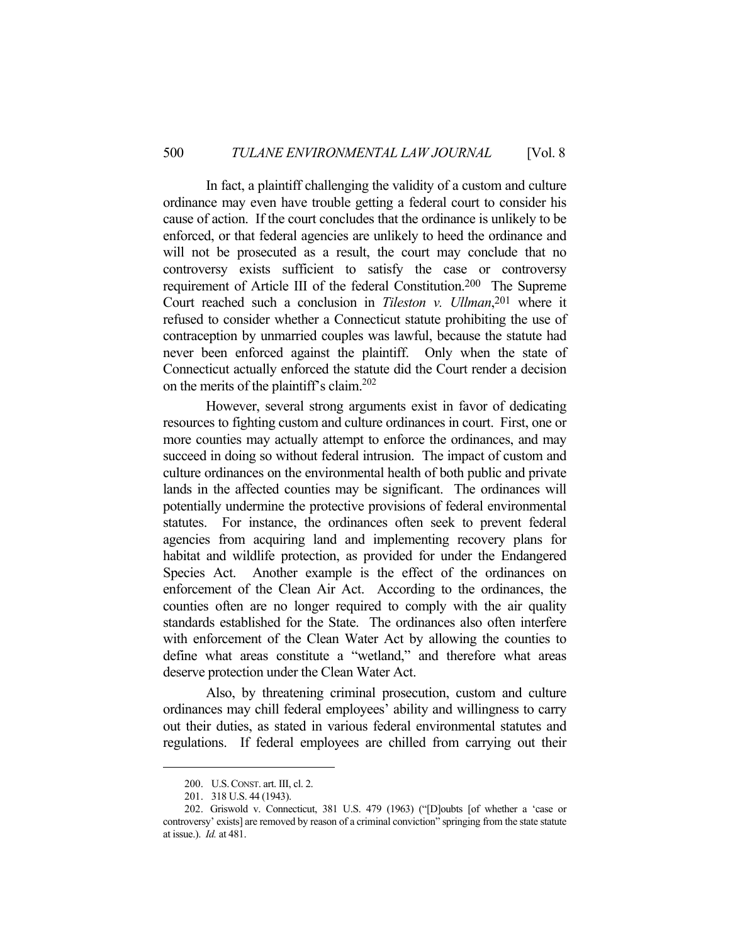In fact, a plaintiff challenging the validity of a custom and culture ordinance may even have trouble getting a federal court to consider his cause of action. If the court concludes that the ordinance is unlikely to be enforced, or that federal agencies are unlikely to heed the ordinance and will not be prosecuted as a result, the court may conclude that no controversy exists sufficient to satisfy the case or controversy requirement of Article III of the federal Constitution.200 The Supreme Court reached such a conclusion in *Tileston v. Ullman*, 201 where it refused to consider whether a Connecticut statute prohibiting the use of contraception by unmarried couples was lawful, because the statute had never been enforced against the plaintiff. Only when the state of Connecticut actually enforced the statute did the Court render a decision on the merits of the plaintiff's claim.<sup>202</sup>

 However, several strong arguments exist in favor of dedicating resources to fighting custom and culture ordinances in court. First, one or more counties may actually attempt to enforce the ordinances, and may succeed in doing so without federal intrusion. The impact of custom and culture ordinances on the environmental health of both public and private lands in the affected counties may be significant. The ordinances will potentially undermine the protective provisions of federal environmental statutes. For instance, the ordinances often seek to prevent federal agencies from acquiring land and implementing recovery plans for habitat and wildlife protection, as provided for under the Endangered Species Act. Another example is the effect of the ordinances on enforcement of the Clean Air Act. According to the ordinances, the counties often are no longer required to comply with the air quality standards established for the State. The ordinances also often interfere with enforcement of the Clean Water Act by allowing the counties to define what areas constitute a "wetland," and therefore what areas deserve protection under the Clean Water Act.

 Also, by threatening criminal prosecution, custom and culture ordinances may chill federal employees' ability and willingness to carry out their duties, as stated in various federal environmental statutes and regulations. If federal employees are chilled from carrying out their

 <sup>200.</sup> U.S.CONST. art. III, cl. 2.

 <sup>201. 318</sup> U.S. 44 (1943).

 <sup>202.</sup> Griswold v. Connecticut, 381 U.S. 479 (1963) ("[D]oubts [of whether a 'case or controversy' exists] are removed by reason of a criminal conviction" springing from the state statute at issue.). *Id.* at 481.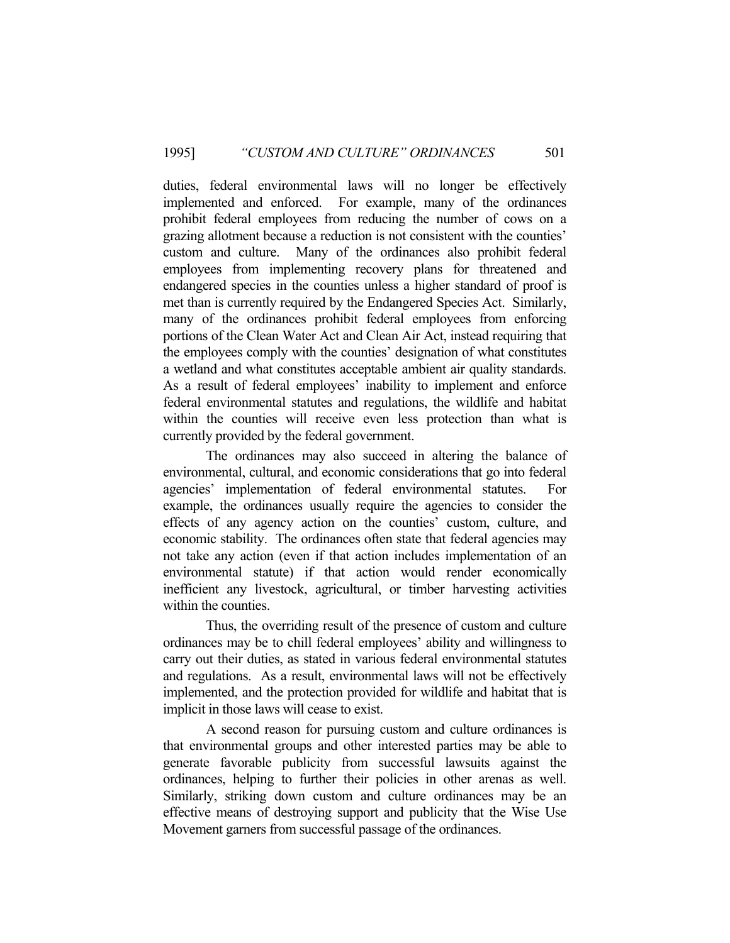duties, federal environmental laws will no longer be effectively implemented and enforced. For example, many of the ordinances prohibit federal employees from reducing the number of cows on a grazing allotment because a reduction is not consistent with the counties' custom and culture. Many of the ordinances also prohibit federal employees from implementing recovery plans for threatened and endangered species in the counties unless a higher standard of proof is met than is currently required by the Endangered Species Act. Similarly, many of the ordinances prohibit federal employees from enforcing portions of the Clean Water Act and Clean Air Act, instead requiring that the employees comply with the counties' designation of what constitutes a wetland and what constitutes acceptable ambient air quality standards. As a result of federal employees' inability to implement and enforce federal environmental statutes and regulations, the wildlife and habitat within the counties will receive even less protection than what is currently provided by the federal government.

 The ordinances may also succeed in altering the balance of environmental, cultural, and economic considerations that go into federal agencies' implementation of federal environmental statutes. For example, the ordinances usually require the agencies to consider the effects of any agency action on the counties' custom, culture, and economic stability. The ordinances often state that federal agencies may not take any action (even if that action includes implementation of an environmental statute) if that action would render economically inefficient any livestock, agricultural, or timber harvesting activities within the counties.

 Thus, the overriding result of the presence of custom and culture ordinances may be to chill federal employees' ability and willingness to carry out their duties, as stated in various federal environmental statutes and regulations. As a result, environmental laws will not be effectively implemented, and the protection provided for wildlife and habitat that is implicit in those laws will cease to exist.

 A second reason for pursuing custom and culture ordinances is that environmental groups and other interested parties may be able to generate favorable publicity from successful lawsuits against the ordinances, helping to further their policies in other arenas as well. Similarly, striking down custom and culture ordinances may be an effective means of destroying support and publicity that the Wise Use Movement garners from successful passage of the ordinances.